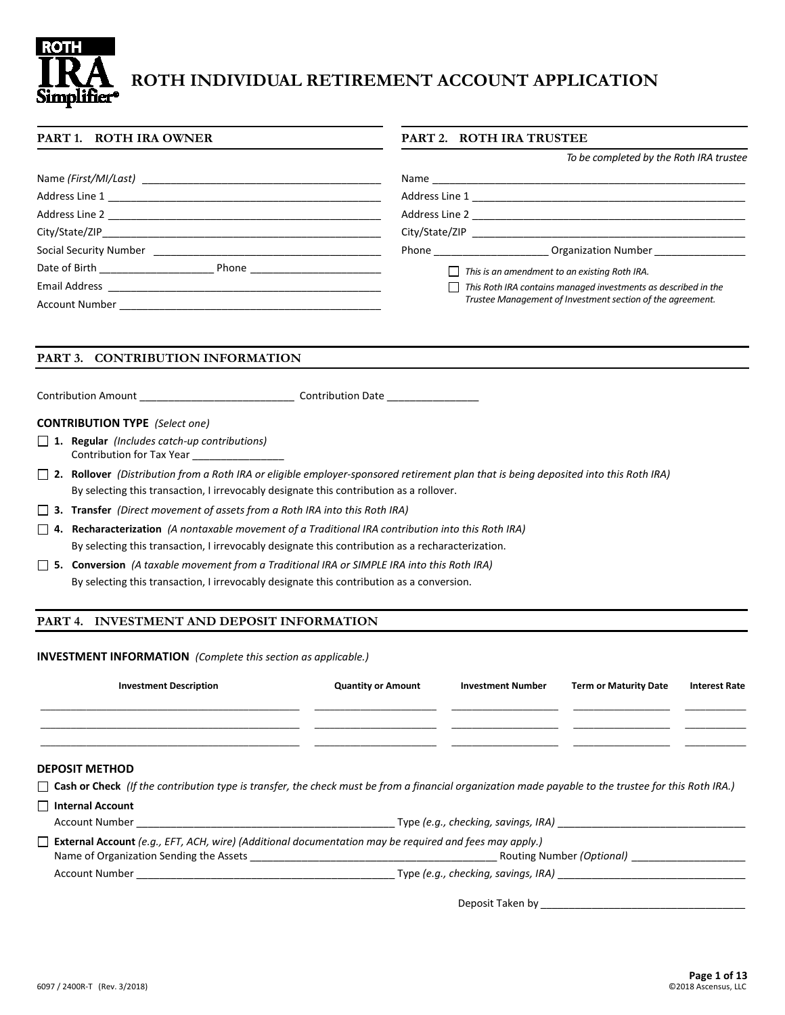

# **ROTH INDIVIDUAL RETIREMENT ACCOUNT APPLICATION**

#### **PART 1. ROTH IRA OWNER PART 2. ROTH IRA TRUSTEE**

*To be completed by the Roth IRA trustee*

| Address Line 2 and 2 and 2 and 2 and 2 and 2 and 2 and 2 and 2 and 2 and 2 and 2 and 2 and 2 and 2 and 2 and 2 | Address Line 2                                                                                                                                                                                                                                                   |
|----------------------------------------------------------------------------------------------------------------|------------------------------------------------------------------------------------------------------------------------------------------------------------------------------------------------------------------------------------------------------------------|
| City/State/ZIP                                                                                                 | City/State/ZIP                                                                                                                                                                                                                                                   |
| Social Security Number                                                                                         | <b>Organization Number</b><br><b>Phone Contract Contract Contract Contract Contract Contract Contract Contract Contract Contract Contract Contract Contract Contract Contract Contract Contract Contract Contract Contract Contract Contract Contract Contra</b> |
| Date of Birth <b>Exercise 19</b><br>Phone <u>________________</u>                                              | $\Box$ This is an amendment to an existing Roth IRA.                                                                                                                                                                                                             |
| Email Address                                                                                                  | $\Box$ This Roth IRA contains managed investments as described in the                                                                                                                                                                                            |
| <b>Account Number</b>                                                                                          | Trustee Management of Investment section of the agreement.                                                                                                                                                                                                       |

#### **PART 3. CONTRIBUTION INFORMATION**

Contribution Amount **Contribution Date Contribution Date Contribution Date**  $\overline{a}$ 

#### **CONTRIBUTION TYPE** *(Select one)*

- **1. Regular** *(Includes catch-up contributions)* Contribution for Tax Year \_\_\_\_\_\_\_\_\_\_\_\_\_\_\_\_
- **2. Rollover** *(Distribution from a Roth IRA or eligible employer-sponsored retirement plan that is being deposited into this Roth IRA)* By selecting this transaction, I irrevocably designate this contribution as a rollover.
- **3. Transfer** *(Direct movement of assets from a Roth IRA into this Roth IRA)*
- **4. Recharacterization** *(A nontaxable movement of a Traditional IRA contribution into this Roth IRA)* By selecting this transaction, I irrevocably designate this contribution as a recharacterization.
- **5. Conversion** *(A taxable movement from a Traditional IRA or SIMPLE IRA into this Roth IRA)* By selecting this transaction, I irrevocably designate this contribution as a conversion.

#### **PART 4. INVESTMENT AND DEPOSIT INFORMATION**

**INVESTMENT INFORMATION** *(Complete this section as applicable.)*

| <b>Investment Description</b> | <b>Quantity or Amount</b> | <b>Investment Number</b> | <b>Term or Maturity Date</b> | <b>Interest Rate</b> |
|-------------------------------|---------------------------|--------------------------|------------------------------|----------------------|
|                               |                           |                          |                              |                      |
|                               |                           |                          |                              |                      |
|                               |                           |                          |                              |                      |

#### **DEPOSIT METHOD**

**Internal Account**

**Cash or Check** *(If the contribution type is transfer, the check must be from a financial organization made payable to the trustee for this Roth IRA.)*

| <b>INCHIMP COMING</b>                                                                                         |                                     |
|---------------------------------------------------------------------------------------------------------------|-------------------------------------|
| Account Number                                                                                                | Type (e.g., checking, savings, IRA) |
| <b>External Account</b> (e.g., EFT, ACH, wire) (Additional documentation may be required and fees may apply.) |                                     |
| Name of Organization Sending the Assets                                                                       | Routing Number (Optional)           |
| Account Number                                                                                                | Type (e.g., checking, savings, IRA) |
|                                                                                                               |                                     |

Deposit Taken by \_\_\_\_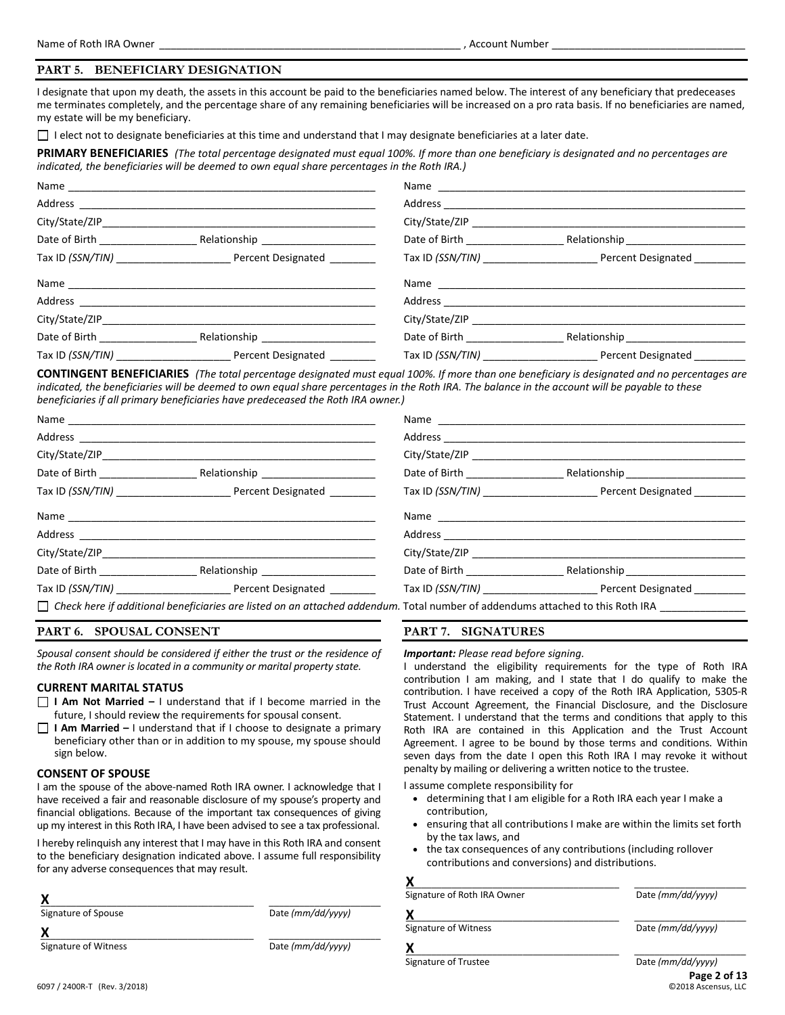#### **PART 5. BENEFICIARY DESIGNATION**

I designate that upon my death, the assets in this account be paid to the beneficiaries named below. The interest of any beneficiary that predeceases me terminates completely, and the percentage share of any remaining beneficiaries will be increased on a pro rata basis. If no beneficiaries are named, my estate will be my beneficiary.

 $\Box$  I elect not to designate beneficiaries at this time and understand that I may designate beneficiaries at a later date.

**PRIMARY BENEFICIARIES** *(The total percentage designated must equal 100%. If more than one beneficiary is designated and no percentages are indicated, the beneficiaries will be deemed to own equal share percentages in the Roth IRA.)*

|                                    |                                                                                                                                                                                                                                | City/State/ZIP                   |                                       |
|------------------------------------|--------------------------------------------------------------------------------------------------------------------------------------------------------------------------------------------------------------------------------|----------------------------------|---------------------------------------|
| Date of Birth _________________    |                                                                                                                                                                                                                                | Date of Birth ________________   | Relationship_________________________ |
|                                    |                                                                                                                                                                                                                                |                                  |                                       |
|                                    |                                                                                                                                                                                                                                |                                  |                                       |
|                                    |                                                                                                                                                                                                                                |                                  |                                       |
|                                    | City/State/ZIP and the control of the control of the control of the control of the control of the control of the control of the control of the control of the control of the control of the control of the control of the cont |                                  |                                       |
| Date of Birth <b>Exercise 2018</b> |                                                                                                                                                                                                                                | Date of Birth <b>Exercise 20</b> | Relationship________________________  |
|                                    | Tax ID (SSN/TIN) Percent Designated                                                                                                                                                                                            |                                  | Tax ID (SSN/TIN) Percent Designated   |

**CONTINGENT BENEFICIARIES** *(The total percentage designated must equal 100%. If more than one beneficiary is designated and no percentages are indicated, the beneficiaries will be deemed to own equal share percentages in the Roth IRA. The balance in the account will be payable to these beneficiaries if all primary beneficiaries have predeceased the Roth IRA owner.)*

|                                  |                                                                                                                | City/State/ZIP                     |                                       |
|----------------------------------|----------------------------------------------------------------------------------------------------------------|------------------------------------|---------------------------------------|
| Date of Birth __________________ |                                                                                                                | Date of Birth _______________      | Relationship_________________________ |
|                                  |                                                                                                                |                                    |                                       |
|                                  |                                                                                                                |                                    |                                       |
|                                  |                                                                                                                |                                    |                                       |
|                                  |                                                                                                                | City/State/ZIP                     |                                       |
|                                  |                                                                                                                | Date of Birth <b>Exercise 2018</b> | Relationship Electronic Property      |
|                                  |                                                                                                                |                                    | Tax ID (SSN/TIN) Percent Designated   |
|                                  | −− de la característica de la característica de la característica de la característica de la característica de |                                    |                                       |

*Check here if additional beneficiaries are listed on an attached addendum.* Total number of addendums attached to this Roth IRA \_\_\_\_\_\_\_\_\_\_\_\_\_\_\_

#### **PART 6. SPOUSAL CONSENT**

*Spousal consent should be considered if either the trust or the residence of the Roth IRA owner is located in a community or marital property state.*

#### **CURRENT MARITAL STATUS**

- **I Am Not Married –** I understand that if I become married in the future, I should review the requirements for spousal consent.
- П **I Am Married –** I understand that if I choose to designate a primary beneficiary other than or in addition to my spouse, my spouse should sign below.

#### **CONSENT OF SPOUSE**

I am the spouse of the above-named Roth IRA owner. I acknowledge that I have received a fair and reasonable disclosure of my spouse's property and financial obligations. Because of the important tax consequences of giving up my interest in this Roth IRA, I have been advised to see a tax professional.

I hereby relinquish any interest that I may have in this Roth IRA and consent to the beneficiary designation indicated above. I assume full responsibility for any adverse consequences that may result.

| Signature of Spouse  | Date (mm/dd/yyyy) |
|----------------------|-------------------|
|                      |                   |
| Signature of Witness | Date (mm/dd/yyyy) |

#### **PART 7. SIGNATURES**

#### *Important: Please read before signing.*

I understand the eligibility requirements for the type of Roth IRA contribution I am making, and I state that I do qualify to make the contribution. I have received a copy of the Roth IRA Application, 5305-R Trust Account Agreement, the Financial Disclosure, and the Disclosure Statement. I understand that the terms and conditions that apply to this Roth IRA are contained in this Application and the Trust Account Agreement. I agree to be bound by those terms and conditions. Within seven days from the date I open this Roth IRA I may revoke it without penalty by mailing or delivering a written notice to the trustee.

I assume complete responsibility for

- determining that I am eligible for a Roth IRA each year I make a contribution,
- ensuring that all contributions I make are within the limits set forth by the tax laws, and
- the tax consequences of any contributions (including rollover contributions and conversions) and distributions.

| Signature of Roth IRA Owner | Date (mm/dd/yyyy)                 |
|-----------------------------|-----------------------------------|
| х                           |                                   |
| Signature of Witness        | Date (mm/dd/yyyy)                 |
| х                           |                                   |
| Signature of Trustee        | Date (mm/dd/yyyy)<br>Page 2 of 13 |

 $Q$ 2018 Ascensus, LLC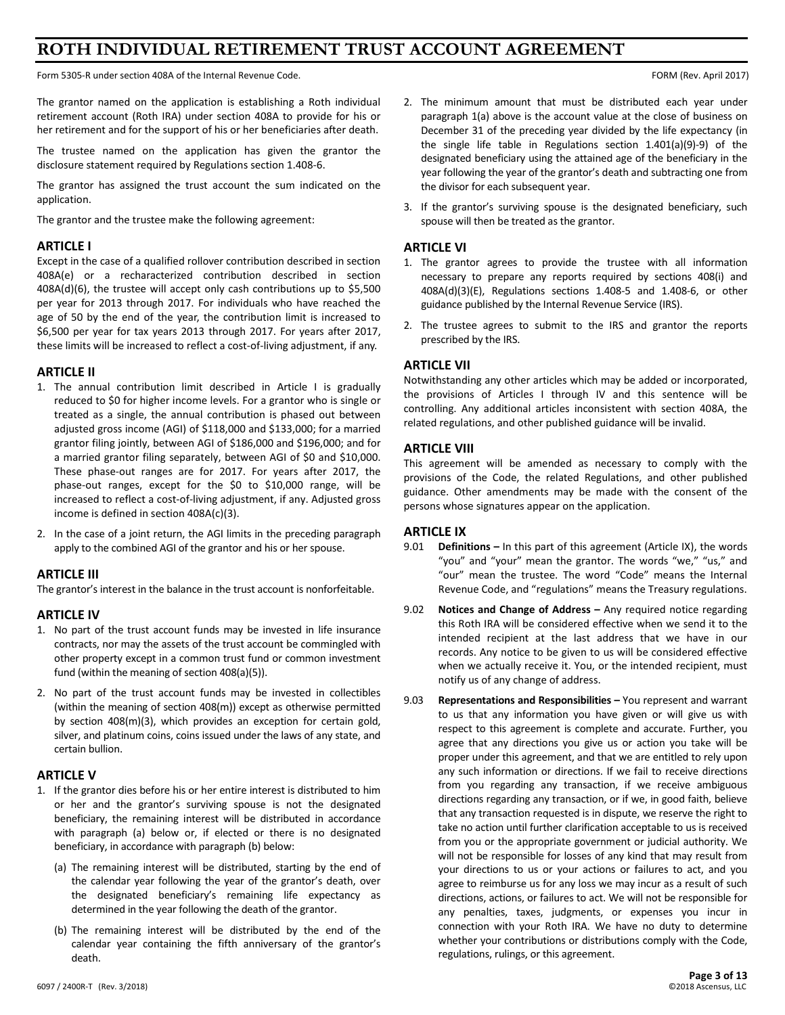# **ROTH INDIVIDUAL RETIREMENT TRUST ACCOUNT AGREEMENT**

Form 5305-R under section 408A of the Internal Revenue Code. FORM (Rev. April 2017)

The grantor named on the application is establishing a Roth individual retirement account (Roth IRA) under section 408A to provide for his or her retirement and for the support of his or her beneficiaries after death.

The trustee named on the application has given the grantor the disclosure statement required by Regulations section 1.408-6.

The grantor has assigned the trust account the sum indicated on the application.

The grantor and the trustee make the following agreement:

#### **ARTICLE I**

Except in the case of a qualified rollover contribution described in section 408A(e) or a recharacterized contribution described in section 408A(d)(6), the trustee will accept only cash contributions up to \$5,500 per year for 2013 through 2017. For individuals who have reached the age of 50 by the end of the year, the contribution limit is increased to \$6,500 per year for tax years 2013 through 2017. For years after 2017, these limits will be increased to reflect a cost-of-living adjustment, if any.

#### **ARTICLE II**

- 1. The annual contribution limit described in Article I is gradually reduced to \$0 for higher income levels. For a grantor who is single or treated as a single, the annual contribution is phased out between adjusted gross income (AGI) of \$118,000 and \$133,000; for a married grantor filing jointly, between AGI of \$186,000 and \$196,000; and for a married grantor filing separately, between AGI of \$0 and \$10,000. These phase-out ranges are for 2017. For years after 2017, the phase-out ranges, except for the \$0 to \$10,000 range, will be increased to reflect a cost-of-living adjustment, if any. Adjusted gross income is defined in section 408A(c)(3).
- 2. In the case of a joint return, the AGI limits in the preceding paragraph apply to the combined AGI of the grantor and his or her spouse.

#### **ARTICLE III**

The grantor's interest in the balance in the trust account is nonforfeitable.

#### **ARTICLE IV**

- 1. No part of the trust account funds may be invested in life insurance contracts, nor may the assets of the trust account be commingled with other property except in a common trust fund or common investment fund (within the meaning of section 408(a)(5)).
- 2. No part of the trust account funds may be invested in collectibles (within the meaning of section 408(m)) except as otherwise permitted by section 408(m)(3), which provides an exception for certain gold, silver, and platinum coins, coins issued under the laws of any state, and certain bullion.

### **ARTICLE V**

- 1. If the grantor dies before his or her entire interest is distributed to him or her and the grantor's surviving spouse is not the designated beneficiary, the remaining interest will be distributed in accordance with paragraph (a) below or, if elected or there is no designated beneficiary, in accordance with paragraph (b) below:
	- (a) The remaining interest will be distributed, starting by the end of the calendar year following the year of the grantor's death, over the designated beneficiary's remaining life expectancy as determined in the year following the death of the grantor.
	- (b) The remaining interest will be distributed by the end of the calendar year containing the fifth anniversary of the grantor's death.
- 2. The minimum amount that must be distributed each year under paragraph 1(a) above is the account value at the close of business on December 31 of the preceding year divided by the life expectancy (in the single life table in Regulations section 1.401(a)(9)-9) of the designated beneficiary using the attained age of the beneficiary in the year following the year of the grantor's death and subtracting one from the divisor for each subsequent year.
- 3. If the grantor's surviving spouse is the designated beneficiary, such spouse will then be treated as the grantor.

#### **ARTICLE VI**

- 1. The grantor agrees to provide the trustee with all information necessary to prepare any reports required by sections 408(i) and 408A(d)(3)(E), Regulations sections 1.408-5 and 1.408-6, or other guidance published by the Internal Revenue Service (IRS).
- 2. The trustee agrees to submit to the IRS and grantor the reports prescribed by the IRS.

#### **ARTICLE VII**

Notwithstanding any other articles which may be added or incorporated, the provisions of Articles I through IV and this sentence will be controlling. Any additional articles inconsistent with section 408A, the related regulations, and other published guidance will be invalid.

#### **ARTICLE VIII**

This agreement will be amended as necessary to comply with the provisions of the Code, the related Regulations, and other published guidance. Other amendments may be made with the consent of the persons whose signatures appear on the application.

#### **ARTICLE IX**

- 9.01 **Definitions –** In this part of this agreement (Article IX), the words "you" and "your" mean the grantor. The words "we," "us," and "our" mean the trustee. The word "Code" means the Internal Revenue Code, and "regulations" means the Treasury regulations.
- 9.02 **Notices and Change of Address –** Any required notice regarding this Roth IRA will be considered effective when we send it to the intended recipient at the last address that we have in our records. Any notice to be given to us will be considered effective when we actually receive it. You, or the intended recipient, must notify us of any change of address.
- 9.03 **Representations and Responsibilities –** You represent and warrant to us that any information you have given or will give us with respect to this agreement is complete and accurate. Further, you agree that any directions you give us or action you take will be proper under this agreement, and that we are entitled to rely upon any such information or directions. If we fail to receive directions from you regarding any transaction, if we receive ambiguous directions regarding any transaction, or if we, in good faith, believe that any transaction requested is in dispute, we reserve the right to take no action until further clarification acceptable to us is received from you or the appropriate government or judicial authority. We will not be responsible for losses of any kind that may result from your directions to us or your actions or failures to act, and you agree to reimburse us for any loss we may incur as a result of such directions, actions, or failures to act. We will not be responsible for any penalties, taxes, judgments, or expenses you incur in connection with your Roth IRA. We have no duty to determine whether your contributions or distributions comply with the Code, regulations, rulings, or this agreement.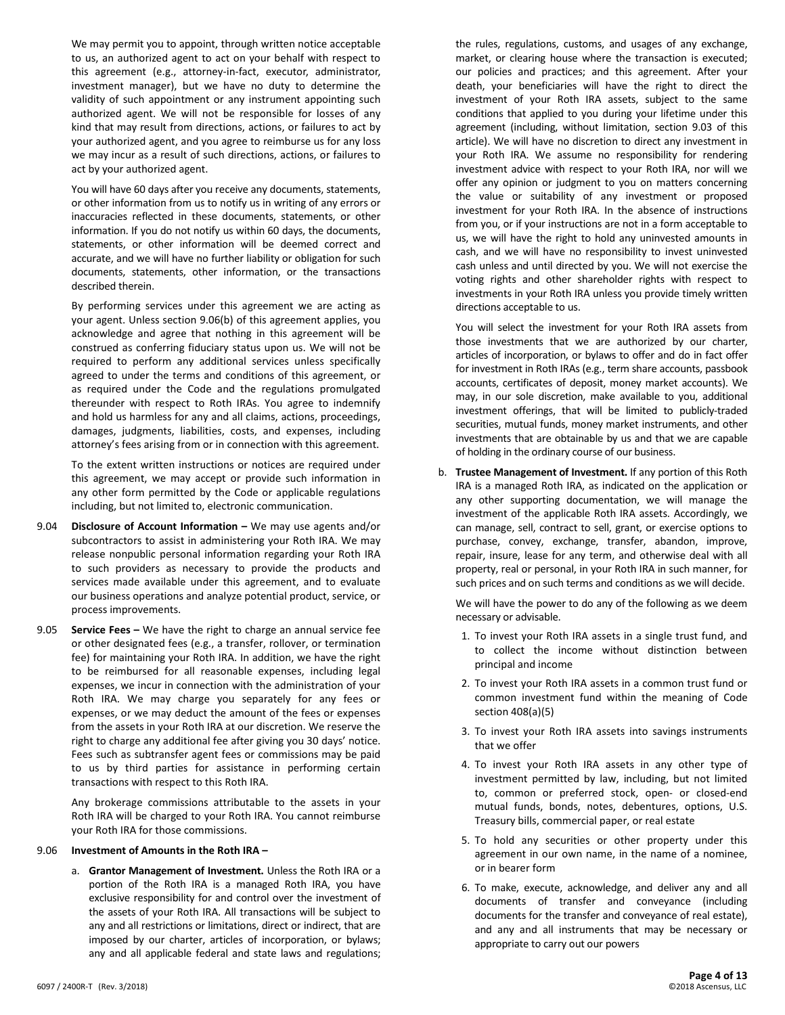We may permit you to appoint, through written notice acceptable to us, an authorized agent to act on your behalf with respect to this agreement (e.g., attorney-in-fact, executor, administrator, investment manager), but we have no duty to determine the validity of such appointment or any instrument appointing such authorized agent. We will not be responsible for losses of any kind that may result from directions, actions, or failures to act by your authorized agent, and you agree to reimburse us for any loss we may incur as a result of such directions, actions, or failures to act by your authorized agent.

You will have 60 days after you receive any documents, statements, or other information from us to notify us in writing of any errors or inaccuracies reflected in these documents, statements, or other information. If you do not notify us within 60 days, the documents, statements, or other information will be deemed correct and accurate, and we will have no further liability or obligation for such documents, statements, other information, or the transactions described therein.

By performing services under this agreement we are acting as your agent. Unless section 9.06(b) of this agreement applies, you acknowledge and agree that nothing in this agreement will be construed as conferring fiduciary status upon us. We will not be required to perform any additional services unless specifically agreed to under the terms and conditions of this agreement, or as required under the Code and the regulations promulgated thereunder with respect to Roth IRAs. You agree to indemnify and hold us harmless for any and all claims, actions, proceedings, damages, judgments, liabilities, costs, and expenses, including attorney's fees arising from or in connection with this agreement.

To the extent written instructions or notices are required under this agreement, we may accept or provide such information in any other form permitted by the Code or applicable regulations including, but not limited to, electronic communication.

- 9.04 **Disclosure of Account Information –** We may use agents and/or subcontractors to assist in administering your Roth IRA. We may release nonpublic personal information regarding your Roth IRA to such providers as necessary to provide the products and services made available under this agreement, and to evaluate our business operations and analyze potential product, service, or process improvements.
- 9.05 **Service Fees –** We have the right to charge an annual service fee or other designated fees (e.g., a transfer, rollover, or termination fee) for maintaining your Roth IRA. In addition, we have the right to be reimbursed for all reasonable expenses, including legal expenses, we incur in connection with the administration of your Roth IRA. We may charge you separately for any fees or expenses, or we may deduct the amount of the fees or expenses from the assets in your Roth IRA at our discretion. We reserve the right to charge any additional fee after giving you 30 days' notice. Fees such as subtransfer agent fees or commissions may be paid to us by third parties for assistance in performing certain transactions with respect to this Roth IRA.

Any brokerage commissions attributable to the assets in your Roth IRA will be charged to your Roth IRA. You cannot reimburse your Roth IRA for those commissions.

#### 9.06 **Investment of Amounts in the Roth IRA –**

a. **Grantor Management of Investment.** Unless the Roth IRA or a portion of the Roth IRA is a managed Roth IRA, you have exclusive responsibility for and control over the investment of the assets of your Roth IRA. All transactions will be subject to any and all restrictions or limitations, direct or indirect, that are imposed by our charter, articles of incorporation, or bylaws; any and all applicable federal and state laws and regulations;

the rules, regulations, customs, and usages of any exchange, market, or clearing house where the transaction is executed; our policies and practices; and this agreement. After your death, your beneficiaries will have the right to direct the investment of your Roth IRA assets, subject to the same conditions that applied to you during your lifetime under this agreement (including, without limitation, section 9.03 of this article). We will have no discretion to direct any investment in your Roth IRA. We assume no responsibility for rendering investment advice with respect to your Roth IRA, nor will we offer any opinion or judgment to you on matters concerning the value or suitability of any investment or proposed investment for your Roth IRA. In the absence of instructions from you, or if your instructions are not in a form acceptable to us, we will have the right to hold any uninvested amounts in cash, and we will have no responsibility to invest uninvested cash unless and until directed by you. We will not exercise the voting rights and other shareholder rights with respect to investments in your Roth IRA unless you provide timely written directions acceptable to us.

You will select the investment for your Roth IRA assets from those investments that we are authorized by our charter, articles of incorporation, or bylaws to offer and do in fact offer for investment in Roth IRAs (e.g., term share accounts, passbook accounts, certificates of deposit, money market accounts). We may, in our sole discretion, make available to you, additional investment offerings, that will be limited to publicly-traded securities, mutual funds, money market instruments, and other investments that are obtainable by us and that we are capable of holding in the ordinary course of our business.

b. **Trustee Management of Investment.** If any portion of this Roth IRA is a managed Roth IRA, as indicated on the application or any other supporting documentation, we will manage the investment of the applicable Roth IRA assets. Accordingly, we can manage, sell, contract to sell, grant, or exercise options to purchase, convey, exchange, transfer, abandon, improve, repair, insure, lease for any term, and otherwise deal with all property, real or personal, in your Roth IRA in such manner, for such prices and on such terms and conditions as we will decide.

We will have the power to do any of the following as we deem necessary or advisable.

- 1. To invest your Roth IRA assets in a single trust fund, and to collect the income without distinction between principal and income
- 2. To invest your Roth IRA assets in a common trust fund or common investment fund within the meaning of Code section 408(a)(5)
- 3. To invest your Roth IRA assets into savings instruments that we offer
- 4. To invest your Roth IRA assets in any other type of investment permitted by law, including, but not limited to, common or preferred stock, open- or closed-end mutual funds, bonds, notes, debentures, options, U.S. Treasury bills, commercial paper, or real estate
- 5. To hold any securities or other property under this agreement in our own name, in the name of a nominee, or in bearer form
- 6. To make, execute, acknowledge, and deliver any and all documents of transfer and conveyance (including documents for the transfer and conveyance of real estate), and any and all instruments that may be necessary or appropriate to carry out our powers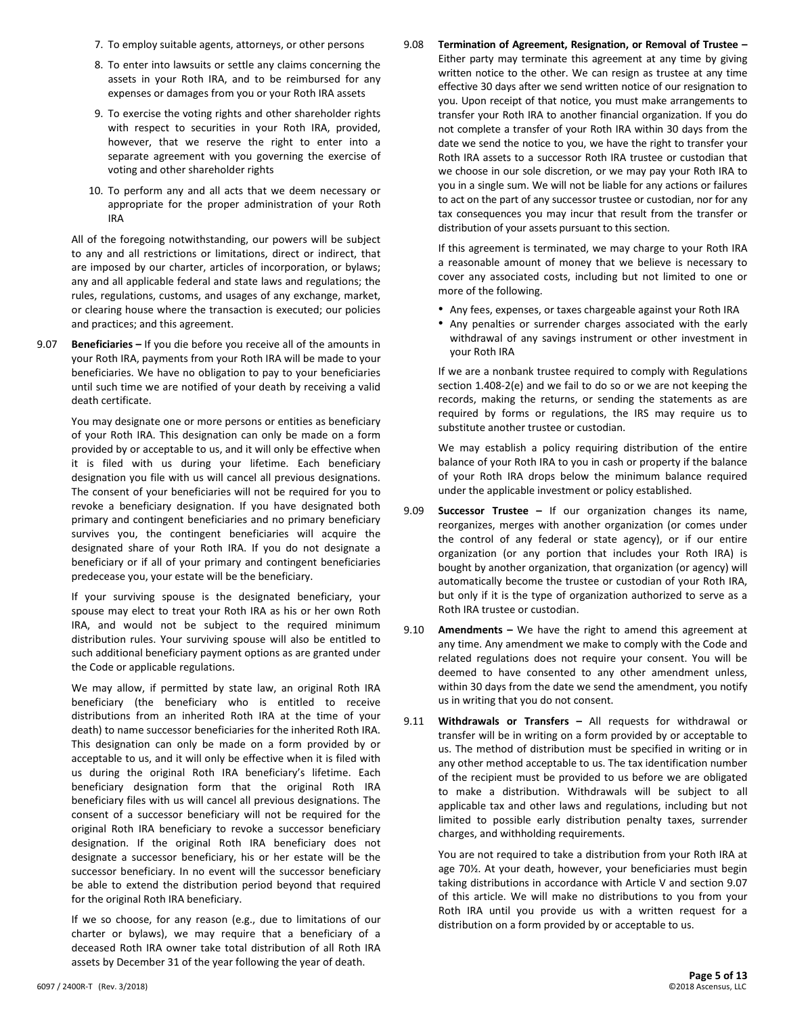- 7. To employ suitable agents, attorneys, or other persons
- 8. To enter into lawsuits or settle any claims concerning the assets in your Roth IRA, and to be reimbursed for any expenses or damages from you or your Roth IRA assets
- 9. To exercise the voting rights and other shareholder rights with respect to securities in your Roth IRA, provided, however, that we reserve the right to enter into a separate agreement with you governing the exercise of voting and other shareholder rights
- 10. To perform any and all acts that we deem necessary or appropriate for the proper administration of your Roth IRA

All of the foregoing notwithstanding, our powers will be subject to any and all restrictions or limitations, direct or indirect, that are imposed by our charter, articles of incorporation, or bylaws; any and all applicable federal and state laws and regulations; the rules, regulations, customs, and usages of any exchange, market, or clearing house where the transaction is executed; our policies and practices; and this agreement.

9.07 **Beneficiaries –** If you die before you receive all of the amounts in your Roth IRA, payments from your Roth IRA will be made to your beneficiaries. We have no obligation to pay to your beneficiaries until such time we are notified of your death by receiving a valid death certificate.

> You may designate one or more persons or entities as beneficiary of your Roth IRA. This designation can only be made on a form provided by or acceptable to us, and it will only be effective when it is filed with us during your lifetime. Each beneficiary designation you file with us will cancel all previous designations. The consent of your beneficiaries will not be required for you to revoke a beneficiary designation. If you have designated both primary and contingent beneficiaries and no primary beneficiary survives you, the contingent beneficiaries will acquire the designated share of your Roth IRA. If you do not designate a beneficiary or if all of your primary and contingent beneficiaries predecease you, your estate will be the beneficiary.

> If your surviving spouse is the designated beneficiary, your spouse may elect to treat your Roth IRA as his or her own Roth IRA, and would not be subject to the required minimum distribution rules. Your surviving spouse will also be entitled to such additional beneficiary payment options as are granted under the Code or applicable regulations.

> We may allow, if permitted by state law, an original Roth IRA beneficiary (the beneficiary who is entitled to receive distributions from an inherited Roth IRA at the time of your death) to name successor beneficiaries for the inherited Roth IRA. This designation can only be made on a form provided by or acceptable to us, and it will only be effective when it is filed with us during the original Roth IRA beneficiary's lifetime. Each beneficiary designation form that the original Roth IRA beneficiary files with us will cancel all previous designations. The consent of a successor beneficiary will not be required for the original Roth IRA beneficiary to revoke a successor beneficiary designation. If the original Roth IRA beneficiary does not designate a successor beneficiary, his or her estate will be the successor beneficiary. In no event will the successor beneficiary be able to extend the distribution period beyond that required for the original Roth IRA beneficiary.

> If we so choose, for any reason (e.g., due to limitations of our charter or bylaws), we may require that a beneficiary of a deceased Roth IRA owner take total distribution of all Roth IRA assets by December 31 of the year following the year of death.

9.08 **Termination of Agreement, Resignation, or Removal of Trustee –** Either party may terminate this agreement at any time by giving written notice to the other. We can resign as trustee at any time effective 30 days after we send written notice of our resignation to you. Upon receipt of that notice, you must make arrangements to transfer your Roth IRA to another financial organization. If you do not complete a transfer of your Roth IRA within 30 days from the date we send the notice to you, we have the right to transfer your Roth IRA assets to a successor Roth IRA trustee or custodian that we choose in our sole discretion, or we may pay your Roth IRA to you in a single sum. We will not be liable for any actions or failures to act on the part of any successor trustee or custodian, nor for any tax consequences you may incur that result from the transfer or distribution of your assets pursuant to this section.

If this agreement is terminated, we may charge to your Roth IRA a reasonable amount of money that we believe is necessary to cover any associated costs, including but not limited to one or more of the following.

- Any fees, expenses, or taxes chargeable against your Roth IRA
- Any penalties or surrender charges associated with the early withdrawal of any savings instrument or other investment in your Roth IRA

If we are a nonbank trustee required to comply with Regulations section 1.408-2(e) and we fail to do so or we are not keeping the records, making the returns, or sending the statements as are required by forms or regulations, the IRS may require us to substitute another trustee or custodian.

We may establish a policy requiring distribution of the entire balance of your Roth IRA to you in cash or property if the balance of your Roth IRA drops below the minimum balance required under the applicable investment or policy established.

- 9.09 **Successor Trustee –** If our organization changes its name, reorganizes, merges with another organization (or comes under the control of any federal or state agency), or if our entire organization (or any portion that includes your Roth IRA) is bought by another organization, that organization (or agency) will automatically become the trustee or custodian of your Roth IRA, but only if it is the type of organization authorized to serve as a Roth IRA trustee or custodian.
- 9.10 **Amendments –** We have the right to amend this agreement at any time. Any amendment we make to comply with the Code and related regulations does not require your consent. You will be deemed to have consented to any other amendment unless, within 30 days from the date we send the amendment, you notify us in writing that you do not consent.
- 9.11 **Withdrawals or Transfers –** All requests for withdrawal or transfer will be in writing on a form provided by or acceptable to us. The method of distribution must be specified in writing or in any other method acceptable to us. The tax identification number of the recipient must be provided to us before we are obligated to make a distribution. Withdrawals will be subject to all applicable tax and other laws and regulations, including but not limited to possible early distribution penalty taxes, surrender charges, and withholding requirements.

You are not required to take a distribution from your Roth IRA at age 70½. At your death, however, your beneficiaries must begin taking distributions in accordance with Article V and section 9.07 of this article. We will make no distributions to you from your Roth IRA until you provide us with a written request for a distribution on a form provided by or acceptable to us.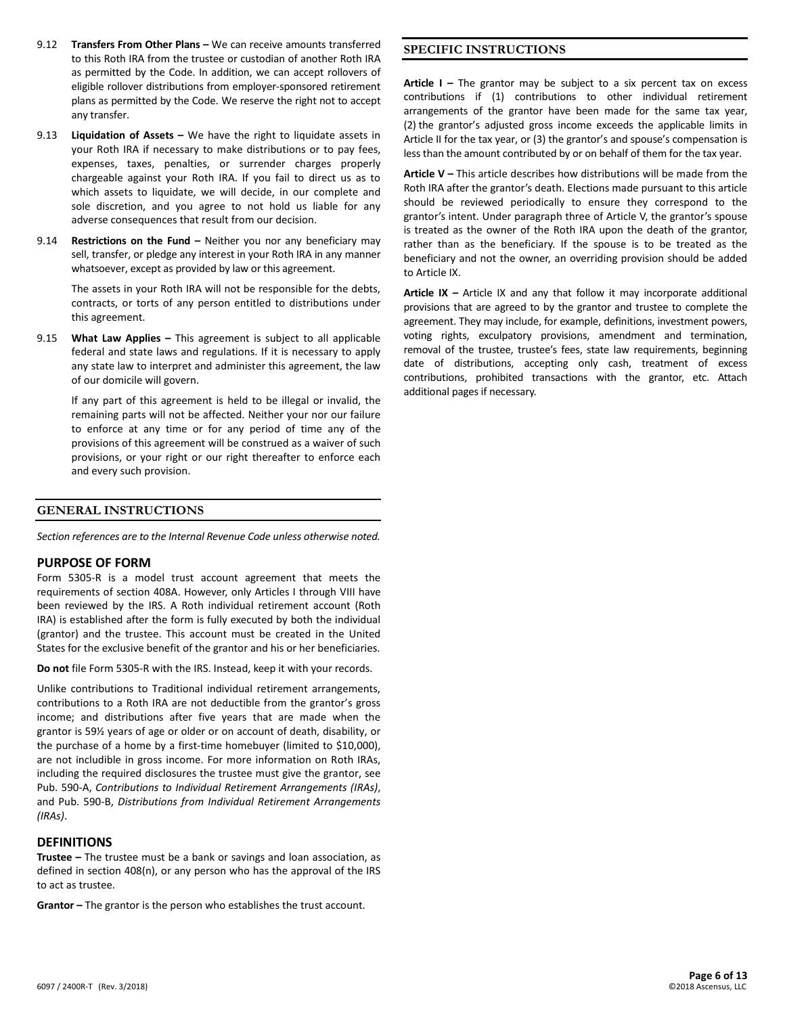- 9.12 **Transfers From Other Plans –** We can receive amounts transferred to this Roth IRA from the trustee or custodian of another Roth IRA as permitted by the Code. In addition, we can accept rollovers of eligible rollover distributions from employer-sponsored retirement plans as permitted by the Code. We reserve the right not to accept any transfer.
- 9.13 **Liquidation of Assets –** We have the right to liquidate assets in your Roth IRA if necessary to make distributions or to pay fees, expenses, taxes, penalties, or surrender charges properly chargeable against your Roth IRA. If you fail to direct us as to which assets to liquidate, we will decide, in our complete and sole discretion, and you agree to not hold us liable for any adverse consequences that result from our decision.
- 9.14 **Restrictions on the Fund –** Neither you nor any beneficiary may sell, transfer, or pledge any interest in your Roth IRA in any manner whatsoever, except as provided by law or this agreement.

The assets in your Roth IRA will not be responsible for the debts, contracts, or torts of any person entitled to distributions under this agreement.

9.15 **What Law Applies –** This agreement is subject to all applicable federal and state laws and regulations. If it is necessary to apply any state law to interpret and administer this agreement, the law of our domicile will govern.

If any part of this agreement is held to be illegal or invalid, the remaining parts will not be affected. Neither your nor our failure to enforce at any time or for any period of time any of the provisions of this agreement will be construed as a waiver of such provisions, or your right or our right thereafter to enforce each and every such provision.

#### **GENERAL INSTRUCTIONS**

*Section references are to the Internal Revenue Code unless otherwise noted.*

#### **PURPOSE OF FORM**

Form 5305-R is a model trust account agreement that meets the requirements of section 408A. However, only Articles I through VIII have been reviewed by the IRS. A Roth individual retirement account (Roth IRA) is established after the form is fully executed by both the individual (grantor) and the trustee. This account must be created in the United States for the exclusive benefit of the grantor and his or her beneficiaries.

**Do not** file Form 5305-R with the IRS. Instead, keep it with your records.

Unlike contributions to Traditional individual retirement arrangements, contributions to a Roth IRA are not deductible from the grantor's gross income; and distributions after five years that are made when the grantor is 59½ years of age or older or on account of death, disability, or the purchase of a home by a first-time homebuyer (limited to \$10,000), are not includible in gross income. For more information on Roth IRAs, including the required disclosures the trustee must give the grantor, see Pub. 590-A, *Contributions to Individual Retirement Arrangements (IRAs)*, and Pub. 590-B, *Distributions from Individual Retirement Arrangements (IRAs)*.

#### **DEFINITIONS**

**Trustee –** The trustee must be a bank or savings and loan association, as defined in section 408(n), or any person who has the approval of the IRS to act as trustee.

**Grantor –** The grantor is the person who establishes the trust account.

## **SPECIFIC INSTRUCTIONS**

**Article I –** The grantor may be subject to a six percent tax on excess contributions if (1) contributions to other individual retirement arrangements of the grantor have been made for the same tax year, (2) the grantor's adjusted gross income exceeds the applicable limits in Article II for the tax year, or (3) the grantor's and spouse's compensation is less than the amount contributed by or on behalf of them for the tax year.

**Article V –** This article describes how distributions will be made from the Roth IRA after the grantor's death. Elections made pursuant to this article should be reviewed periodically to ensure they correspond to the grantor's intent. Under paragraph three of Article V, the grantor's spouse is treated as the owner of the Roth IRA upon the death of the grantor, rather than as the beneficiary. If the spouse is to be treated as the beneficiary and not the owner, an overriding provision should be added to Article IX.

**Article IX –** Article IX and any that follow it may incorporate additional provisions that are agreed to by the grantor and trustee to complete the agreement. They may include, for example, definitions, investment powers, voting rights, exculpatory provisions, amendment and termination, removal of the trustee, trustee's fees, state law requirements, beginning date of distributions, accepting only cash, treatment of excess contributions, prohibited transactions with the grantor, etc. Attach additional pages if necessary.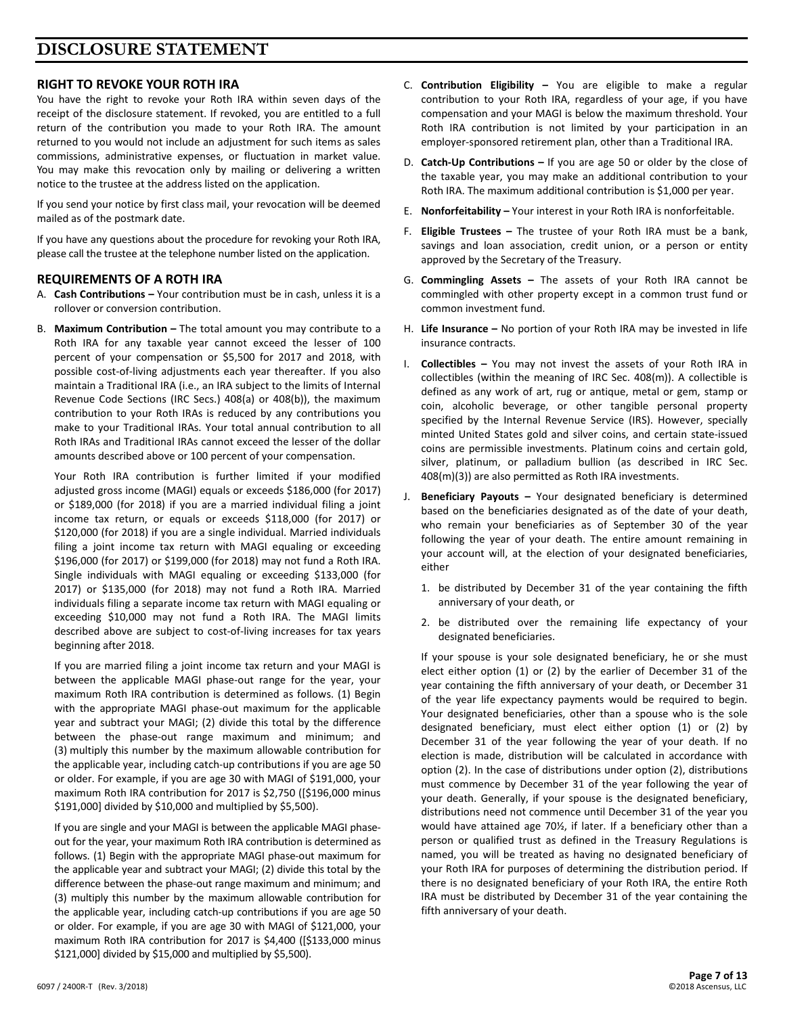# **DISCLOSURE STATEMENT**

# **RIGHT TO REVOKE YOUR ROTH IRA**

You have the right to revoke your Roth IRA within seven days of the receipt of the disclosure statement. If revoked, you are entitled to a full return of the contribution you made to your Roth IRA. The amount returned to you would not include an adjustment for such items as sales commissions, administrative expenses, or fluctuation in market value. You may make this revocation only by mailing or delivering a written notice to the trustee at the address listed on the application.

If you send your notice by first class mail, your revocation will be deemed mailed as of the postmark date.

If you have any questions about the procedure for revoking your Roth IRA, please call the trustee at the telephone number listed on the application.

# **REQUIREMENTS OF A ROTH IRA**

- A. **Cash Contributions –** Your contribution must be in cash, unless it is a rollover or conversion contribution.
- B. **Maximum Contribution –** The total amount you may contribute to a Roth IRA for any taxable year cannot exceed the lesser of 100 percent of your compensation or \$5,500 for 2017 and 2018, with possible cost-of-living adjustments each year thereafter. If you also maintain a Traditional IRA (i.e., an IRA subject to the limits of Internal Revenue Code Sections (IRC Secs.) 408(a) or 408(b)), the maximum contribution to your Roth IRAs is reduced by any contributions you make to your Traditional IRAs. Your total annual contribution to all Roth IRAs and Traditional IRAs cannot exceed the lesser of the dollar amounts described above or 100 percent of your compensation.

Your Roth IRA contribution is further limited if your modified adjusted gross income (MAGI) equals or exceeds \$186,000 (for 2017) or \$189,000 (for 2018) if you are a married individual filing a joint income tax return, or equals or exceeds \$118,000 (for 2017) or \$120,000 (for 2018) if you are a single individual. Married individuals filing a joint income tax return with MAGI equaling or exceeding \$196,000 (for 2017) or \$199,000 (for 2018) may not fund a Roth IRA. Single individuals with MAGI equaling or exceeding \$133,000 (for 2017) or \$135,000 (for 2018) may not fund a Roth IRA. Married individuals filing a separate income tax return with MAGI equaling or exceeding \$10,000 may not fund a Roth IRA. The MAGI limits described above are subject to cost-of-living increases for tax years beginning after 2018.

If you are married filing a joint income tax return and your MAGI is between the applicable MAGI phase-out range for the year, your maximum Roth IRA contribution is determined as follows. (1) Begin with the appropriate MAGI phase-out maximum for the applicable year and subtract your MAGI; (2) divide this total by the difference between the phase-out range maximum and minimum; and (3) multiply this number by the maximum allowable contribution for the applicable year, including catch-up contributions if you are age 50 or older. For example, if you are age 30 with MAGI of \$191,000, your maximum Roth IRA contribution for 2017 is \$2,750 ([\$196,000 minus \$191,000] divided by \$10,000 and multiplied by \$5,500).

If you are single and your MAGI is between the applicable MAGI phaseout for the year, your maximum Roth IRA contribution is determined as follows. (1) Begin with the appropriate MAGI phase-out maximum for the applicable year and subtract your MAGI; (2) divide this total by the difference between the phase-out range maximum and minimum; and (3) multiply this number by the maximum allowable contribution for the applicable year, including catch-up contributions if you are age 50 or older. For example, if you are age 30 with MAGI of \$121,000, your maximum Roth IRA contribution for 2017 is \$4,400 ([\$133,000 minus \$121,000] divided by \$15,000 and multiplied by \$5,500).

- C. **Contribution Eligibility –** You are eligible to make a regular contribution to your Roth IRA, regardless of your age, if you have compensation and your MAGI is below the maximum threshold. Your Roth IRA contribution is not limited by your participation in an employer-sponsored retirement plan, other than a Traditional IRA.
- D. **Catch-Up Contributions –** If you are age 50 or older by the close of the taxable year, you may make an additional contribution to your Roth IRA. The maximum additional contribution is \$1,000 per year.
- E. **Nonforfeitability –** Your interest in your Roth IRA is nonforfeitable.
- F. **Eligible Trustees –** The trustee of your Roth IRA must be a bank, savings and loan association, credit union, or a person or entity approved by the Secretary of the Treasury.
- G. **Commingling Assets –** The assets of your Roth IRA cannot be commingled with other property except in a common trust fund or common investment fund.
- H. **Life Insurance –** No portion of your Roth IRA may be invested in life insurance contracts.
- I. **Collectibles –** You may not invest the assets of your Roth IRA in collectibles (within the meaning of IRC Sec. 408(m)). A collectible is defined as any work of art, rug or antique, metal or gem, stamp or coin, alcoholic beverage, or other tangible personal property specified by the Internal Revenue Service (IRS). However, specially minted United States gold and silver coins, and certain state-issued coins are permissible investments. Platinum coins and certain gold, silver, platinum, or palladium bullion (as described in IRC Sec. 408(m)(3)) are also permitted as Roth IRA investments.
- J. **Beneficiary Payouts –** Your designated beneficiary is determined based on the beneficiaries designated as of the date of your death, who remain your beneficiaries as of September 30 of the year following the year of your death. The entire amount remaining in your account will, at the election of your designated beneficiaries, either
	- 1. be distributed by December 31 of the year containing the fifth anniversary of your death, or
	- 2. be distributed over the remaining life expectancy of your designated beneficiaries.

If your spouse is your sole designated beneficiary, he or she must elect either option (1) or (2) by the earlier of December 31 of the year containing the fifth anniversary of your death, or December 31 of the year life expectancy payments would be required to begin. Your designated beneficiaries, other than a spouse who is the sole designated beneficiary, must elect either option (1) or (2) by December 31 of the year following the year of your death. If no election is made, distribution will be calculated in accordance with option (2). In the case of distributions under option (2), distributions must commence by December 31 of the year following the year of your death. Generally, if your spouse is the designated beneficiary, distributions need not commence until December 31 of the year you would have attained age 70½, if later. If a beneficiary other than a person or qualified trust as defined in the Treasury Regulations is named, you will be treated as having no designated beneficiary of your Roth IRA for purposes of determining the distribution period. If there is no designated beneficiary of your Roth IRA, the entire Roth IRA must be distributed by December 31 of the year containing the fifth anniversary of your death.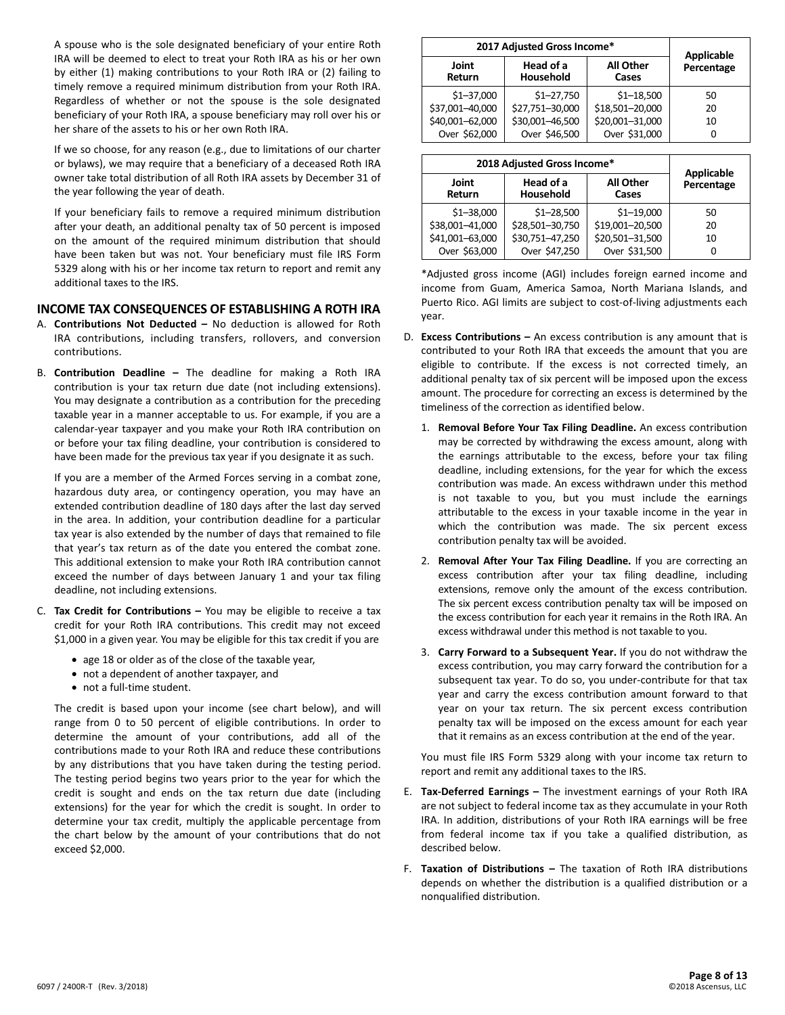A spouse who is the sole designated beneficiary of your entire Roth IRA will be deemed to elect to treat your Roth IRA as his or her own by either (1) making contributions to your Roth IRA or (2) failing to timely remove a required minimum distribution from your Roth IRA. Regardless of whether or not the spouse is the sole designated beneficiary of your Roth IRA, a spouse beneficiary may roll over his or her share of the assets to his or her own Roth IRA.

If we so choose, for any reason (e.g., due to limitations of our charter or bylaws), we may require that a beneficiary of a deceased Roth IRA owner take total distribution of all Roth IRA assets by December 31 of the year following the year of death.

If your beneficiary fails to remove a required minimum distribution after your death, an additional penalty tax of 50 percent is imposed on the amount of the required minimum distribution that should have been taken but was not. Your beneficiary must file IRS Form 5329 along with his or her income tax return to report and remit any additional taxes to the IRS.

#### **INCOME TAX CONSEQUENCES OF ESTABLISHING A ROTH IRA**

- A. **Contributions Not Deducted –** No deduction is allowed for Roth IRA contributions, including transfers, rollovers, and conversion contributions.
- B. **Contribution Deadline –** The deadline for making a Roth IRA contribution is your tax return due date (not including extensions). You may designate a contribution as a contribution for the preceding taxable year in a manner acceptable to us. For example, if you are a calendar-year taxpayer and you make your Roth IRA contribution on or before your tax filing deadline, your contribution is considered to have been made for the previous tax year if you designate it as such.

If you are a member of the Armed Forces serving in a combat zone, hazardous duty area, or contingency operation, you may have an extended contribution deadline of 180 days after the last day served in the area. In addition, your contribution deadline for a particular tax year is also extended by the number of days that remained to file that year's tax return as of the date you entered the combat zone. This additional extension to make your Roth IRA contribution cannot exceed the number of days between January 1 and your tax filing deadline, not including extensions.

- C. **Tax Credit for Contributions –** You may be eligible to receive a tax credit for your Roth IRA contributions. This credit may not exceed \$1,000 in a given year. You may be eligible for this tax credit if you are
	- age 18 or older as of the close of the taxable year,
	- not a dependent of another taxpayer, and
	- not a full-time student.

The credit is based upon your income (see chart below), and will range from 0 to 50 percent of eligible contributions. In order to determine the amount of your contributions, add all of the contributions made to your Roth IRA and reduce these contributions by any distributions that you have taken during the testing period. The testing period begins two years prior to the year for which the credit is sought and ends on the tax return due date (including extensions) for the year for which the credit is sought. In order to determine your tax credit, multiply the applicable percentage from the chart below by the amount of your contributions that do not exceed \$2,000.

| 2017 Adjusted Gross Income* |                                                     |                 | <b>Applicable</b> |
|-----------------------------|-----------------------------------------------------|-----------------|-------------------|
| Joint<br>Return             | Head of a<br><b>All Other</b><br>Household<br>Cases |                 | Percentage        |
| $$1 - 37,000$               | $$1 - 27,750$                                       | $$1 - 18,500$   | 50                |
| \$37,001-40,000             | \$27,751-30,000                                     | \$18,501-20,000 | 20                |
| \$40,001-62,000             | \$30,001-46,500                                     | \$20,001-31,000 | 10                |
| Over \$62,000               | Over \$46,500                                       | Over \$31,000   | O                 |

| 2018 Adjusted Gross Income* |                                                     |                 | <b>Applicable</b> |
|-----------------------------|-----------------------------------------------------|-----------------|-------------------|
| Joint<br>Return             | Head of a<br><b>All Other</b><br>Household<br>Cases |                 | Percentage        |
| $$1 - 38,000$               | $$1 - 28,500$                                       | $$1 - 19,000$   | 50                |
| \$38,001-41,000             | \$28,501-30,750                                     | \$19,001-20,500 | 20                |
| \$41,001-63,000             | \$30,751-47,250                                     | \$20,501-31,500 | 10                |
| Over \$63,000               | Over \$47,250                                       | Over \$31,500   | 0                 |

\*Adjusted gross income (AGI) includes foreign earned income and income from Guam, America Samoa, North Mariana Islands, and Puerto Rico. AGI limits are subject to cost-of-living adjustments each year.

- D. **Excess Contributions –** An excess contribution is any amount that is contributed to your Roth IRA that exceeds the amount that you are eligible to contribute. If the excess is not corrected timely, an additional penalty tax of six percent will be imposed upon the excess amount. The procedure for correcting an excess is determined by the timeliness of the correction as identified below.
	- 1. **Removal Before Your Tax Filing Deadline.** An excess contribution may be corrected by withdrawing the excess amount, along with the earnings attributable to the excess, before your tax filing deadline, including extensions, for the year for which the excess contribution was made. An excess withdrawn under this method is not taxable to you, but you must include the earnings attributable to the excess in your taxable income in the year in which the contribution was made. The six percent excess contribution penalty tax will be avoided.
	- 2. **Removal After Your Tax Filing Deadline.** If you are correcting an excess contribution after your tax filing deadline, including extensions, remove only the amount of the excess contribution. The six percent excess contribution penalty tax will be imposed on the excess contribution for each year it remains in the Roth IRA. An excess withdrawal under this method is not taxable to you.
	- 3. **Carry Forward to a Subsequent Year.** If you do not withdraw the excess contribution, you may carry forward the contribution for a subsequent tax year. To do so, you under-contribute for that tax year and carry the excess contribution amount forward to that year on your tax return. The six percent excess contribution penalty tax will be imposed on the excess amount for each year that it remains as an excess contribution at the end of the year.

You must file IRS Form 5329 along with your income tax return to report and remit any additional taxes to the IRS.

- E. **Tax-Deferred Earnings –** The investment earnings of your Roth IRA are not subject to federal income tax as they accumulate in your Roth IRA. In addition, distributions of your Roth IRA earnings will be free from federal income tax if you take a qualified distribution, as described below.
- F. **Taxation of Distributions –** The taxation of Roth IRA distributions depends on whether the distribution is a qualified distribution or a nonqualified distribution.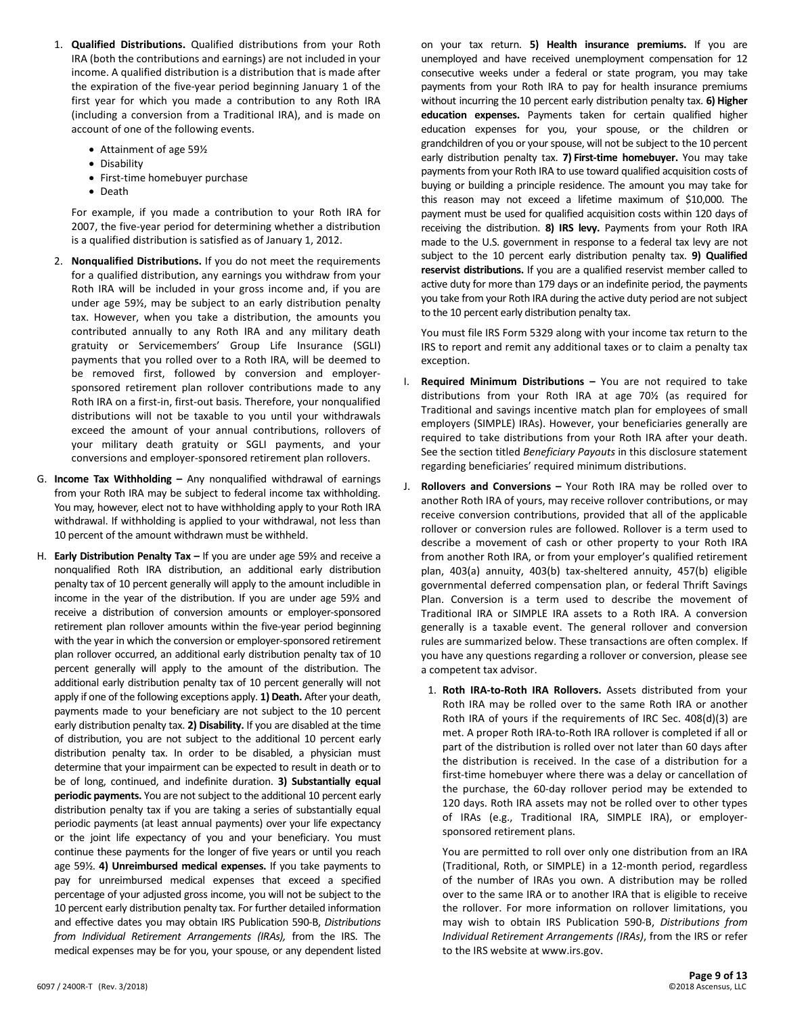- 1. **Qualified Distributions.** Qualified distributions from your Roth IRA (both the contributions and earnings) are not included in your income. A qualified distribution is a distribution that is made after the expiration of the five-year period beginning January 1 of the first year for which you made a contribution to any Roth IRA (including a conversion from a Traditional IRA), and is made on account of one of the following events.
	- Attainment of age 59½
	- Disability
	- First-time homebuyer purchase
	- Death

For example, if you made a contribution to your Roth IRA for 2007, the five-year period for determining whether a distribution is a qualified distribution is satisfied as of January 1, 2012.

- 2. **Nonqualified Distributions.** If you do not meet the requirements for a qualified distribution, any earnings you withdraw from your Roth IRA will be included in your gross income and, if you are under age 59½, may be subject to an early distribution penalty tax. However, when you take a distribution, the amounts you contributed annually to any Roth IRA and any military death gratuity or Servicemembers' Group Life Insurance (SGLI) payments that you rolled over to a Roth IRA, will be deemed to be removed first, followed by conversion and employersponsored retirement plan rollover contributions made to any Roth IRA on a first-in, first-out basis. Therefore, your nonqualified distributions will not be taxable to you until your withdrawals exceed the amount of your annual contributions, rollovers of your military death gratuity or SGLI payments, and your conversions and employer-sponsored retirement plan rollovers.
- G. **Income Tax Withholding –** Any nonqualified withdrawal of earnings from your Roth IRA may be subject to federal income tax withholding. You may, however, elect not to have withholding apply to your Roth IRA withdrawal. If withholding is applied to your withdrawal, not less than 10 percent of the amount withdrawn must be withheld.
- H. **Early Distribution Penalty Tax –** If you are under age 59½ and receive a nonqualified Roth IRA distribution, an additional early distribution penalty tax of 10 percent generally will apply to the amount includible in income in the year of the distribution. If you are under age 59½ and receive a distribution of conversion amounts or employer-sponsored retirement plan rollover amounts within the five-year period beginning with the year in which the conversion or employer-sponsored retirement plan rollover occurred, an additional early distribution penalty tax of 10 percent generally will apply to the amount of the distribution. The additional early distribution penalty tax of 10 percent generally will not apply if one of the following exceptions apply. **1) Death.** After your death, payments made to your beneficiary are not subject to the 10 percent early distribution penalty tax. **2) Disability.** If you are disabled at the time of distribution, you are not subject to the additional 10 percent early distribution penalty tax. In order to be disabled, a physician must determine that your impairment can be expected to result in death or to be of long, continued, and indefinite duration. **3) Substantially equal**  periodic payments. You are not subject to the additional 10 percent early distribution penalty tax if you are taking a series of substantially equal periodic payments (at least annual payments) over your life expectancy or the joint life expectancy of you and your beneficiary. You must continue these payments for the longer of five years or until you reach age 59½. **4) Unreimbursed medical expenses.** If you take payments to pay for unreimbursed medical expenses that exceed a specified percentage of your adjusted gross income, you will not be subject to the 10 percent early distribution penalty tax. For further detailed information and effective dates you may obtain IRS Publication 590-B, *Distributions from Individual Retirement Arrangements (IRAs),* from the IRS. The medical expenses may be for you, your spouse, or any dependent listed

on your tax return. **5) Health insurance premiums.** If you are unemployed and have received unemployment compensation for 12 consecutive weeks under a federal or state program, you may take payments from your Roth IRA to pay for health insurance premiums without incurring the 10 percent early distribution penalty tax. **6) Higher education expenses.** Payments taken for certain qualified higher education expenses for you, your spouse, or the children or grandchildren of you or your spouse, will not be subject to the 10 percent early distribution penalty tax. **7) First-time homebuyer.** You may take payments from your Roth IRA to use toward qualified acquisition costs of buying or building a principle residence. The amount you may take for this reason may not exceed a lifetime maximum of \$10,000. The payment must be used for qualified acquisition costs within 120 days of receiving the distribution. **8) IRS levy.** Payments from your Roth IRA made to the U.S. government in response to a federal tax levy are not subject to the 10 percent early distribution penalty tax. **9) Qualified reservist distributions.** If you are a qualified reservist member called to active duty for more than 179 days or an indefinite period, the payments you take from your Roth IRA during the active duty period are not subject to the 10 percent early distribution penalty tax.

You must file IRS Form 5329 along with your income tax return to the IRS to report and remit any additional taxes or to claim a penalty tax exception.

- I. **Required Minimum Distributions –** You are not required to take distributions from your Roth IRA at age 70½ (as required for Traditional and savings incentive match plan for employees of small employers (SIMPLE) IRAs). However, your beneficiaries generally are required to take distributions from your Roth IRA after your death. See the section titled *Beneficiary Payouts* in this disclosure statement regarding beneficiaries' required minimum distributions.
- J. **Rollovers and Conversions –** Your Roth IRA may be rolled over to another Roth IRA of yours, may receive rollover contributions, or may receive conversion contributions, provided that all of the applicable rollover or conversion rules are followed. Rollover is a term used to describe a movement of cash or other property to your Roth IRA from another Roth IRA, or from your employer's qualified retirement plan, 403(a) annuity, 403(b) tax-sheltered annuity, 457(b) eligible governmental deferred compensation plan, or federal Thrift Savings Plan. Conversion is a term used to describe the movement of Traditional IRA or SIMPLE IRA assets to a Roth IRA. A conversion generally is a taxable event. The general rollover and conversion rules are summarized below. These transactions are often complex. If you have any questions regarding a rollover or conversion, please see a competent tax advisor.
	- 1. **Roth IRA-to-Roth IRA Rollovers.** Assets distributed from your Roth IRA may be rolled over to the same Roth IRA or another Roth IRA of yours if the requirements of IRC Sec. 408(d)(3) are met. A proper Roth IRA-to-Roth IRA rollover is completed if all or part of the distribution is rolled over not later than 60 days after the distribution is received. In the case of a distribution for a first-time homebuyer where there was a delay or cancellation of the purchase, the 60-day rollover period may be extended to 120 days. Roth IRA assets may not be rolled over to other types of IRAs (e.g., Traditional IRA, SIMPLE IRA), or employersponsored retirement plans.

You are permitted to roll over only one distribution from an IRA (Traditional, Roth, or SIMPLE) in a 12-month period, regardless of the number of IRAs you own. A distribution may be rolled over to the same IRA or to another IRA that is eligible to receive the rollover. For more information on rollover limitations, you may wish to obtain IRS Publication 590-B, *Distributions from Individual Retirement Arrangements (IRAs)*, from the IRS or refer to the IRS website at www.irs.gov.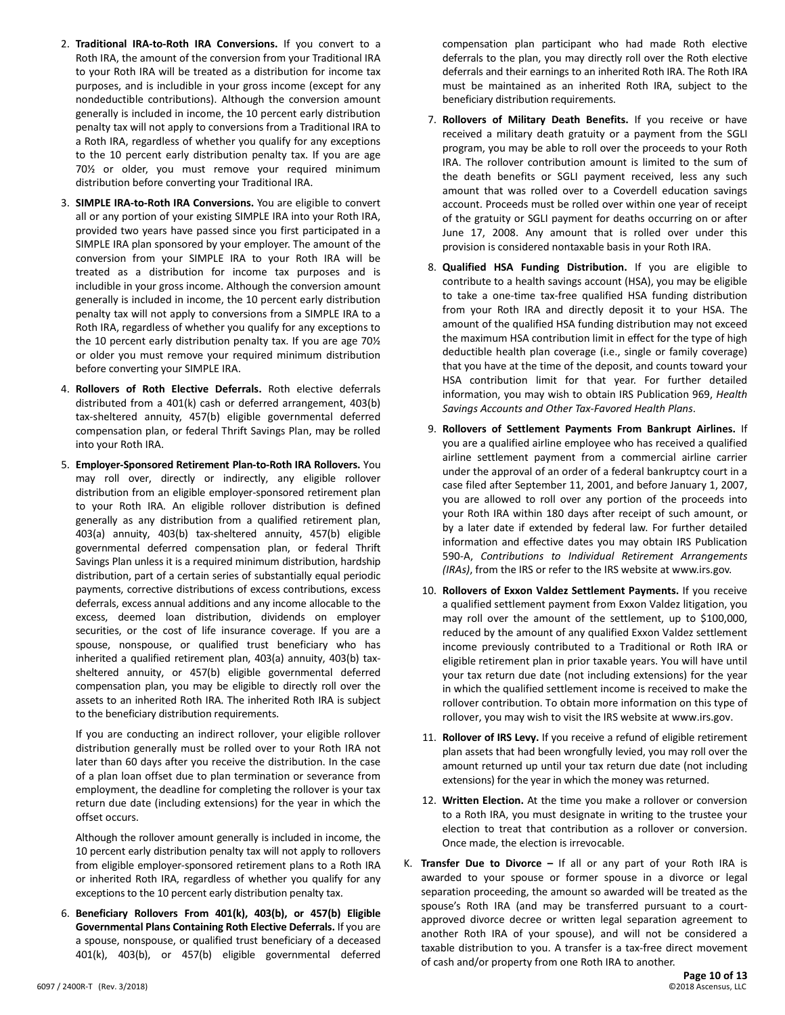- 2. **Traditional IRA-to-Roth IRA Conversions.** If you convert to a Roth IRA, the amount of the conversion from your Traditional IRA to your Roth IRA will be treated as a distribution for income tax purposes, and is includible in your gross income (except for any nondeductible contributions). Although the conversion amount generally is included in income, the 10 percent early distribution penalty tax will not apply to conversions from a Traditional IRA to a Roth IRA, regardless of whether you qualify for any exceptions to the 10 percent early distribution penalty tax. If you are age 70½ or older, you must remove your required minimum distribution before converting your Traditional IRA.
- 3. **SIMPLE IRA-to-Roth IRA Conversions.** You are eligible to convert all or any portion of your existing SIMPLE IRA into your Roth IRA, provided two years have passed since you first participated in a SIMPLE IRA plan sponsored by your employer. The amount of the conversion from your SIMPLE IRA to your Roth IRA will be treated as a distribution for income tax purposes and is includible in your gross income. Although the conversion amount generally is included in income, the 10 percent early distribution penalty tax will not apply to conversions from a SIMPLE IRA to a Roth IRA, regardless of whether you qualify for any exceptions to the 10 percent early distribution penalty tax. If you are age 70½ or older you must remove your required minimum distribution before converting your SIMPLE IRA.
- 4. **Rollovers of Roth Elective Deferrals.** Roth elective deferrals distributed from a 401(k) cash or deferred arrangement, 403(b) tax-sheltered annuity, 457(b) eligible governmental deferred compensation plan, or federal Thrift Savings Plan, may be rolled into your Roth IRA.
- 5. **Employer-Sponsored Retirement Plan-to-Roth IRA Rollovers.** You may roll over, directly or indirectly, any eligible rollover distribution from an eligible employer-sponsored retirement plan to your Roth IRA. An eligible rollover distribution is defined generally as any distribution from a qualified retirement plan, 403(a) annuity, 403(b) tax-sheltered annuity, 457(b) eligible governmental deferred compensation plan, or federal Thrift Savings Plan unless it is a required minimum distribution, hardship distribution, part of a certain series of substantially equal periodic payments, corrective distributions of excess contributions, excess deferrals, excess annual additions and any income allocable to the excess, deemed loan distribution, dividends on employer securities, or the cost of life insurance coverage. If you are a spouse, nonspouse, or qualified trust beneficiary who has inherited a qualified retirement plan, 403(a) annuity, 403(b) taxsheltered annuity, or 457(b) eligible governmental deferred compensation plan, you may be eligible to directly roll over the assets to an inherited Roth IRA. The inherited Roth IRA is subject to the beneficiary distribution requirements.

If you are conducting an indirect rollover, your eligible rollover distribution generally must be rolled over to your Roth IRA not later than 60 days after you receive the distribution. In the case of a plan loan offset due to plan termination or severance from employment, the deadline for completing the rollover is your tax return due date (including extensions) for the year in which the offset occurs.

Although the rollover amount generally is included in income, the 10 percent early distribution penalty tax will not apply to rollovers from eligible employer-sponsored retirement plans to a Roth IRA or inherited Roth IRA, regardless of whether you qualify for any exceptions to the 10 percent early distribution penalty tax.

6. **Beneficiary Rollovers From 401(k), 403(b), or 457(b) Eligible Governmental Plans Containing Roth Elective Deferrals.** If you are a spouse, nonspouse, or qualified trust beneficiary of a deceased 401(k), 403(b), or 457(b) eligible governmental deferred

compensation plan participant who had made Roth elective deferrals to the plan, you may directly roll over the Roth elective deferrals and their earnings to an inherited Roth IRA. The Roth IRA must be maintained as an inherited Roth IRA, subject to the beneficiary distribution requirements.

- 7. **Rollovers of Military Death Benefits.** If you receive or have received a military death gratuity or a payment from the SGLI program, you may be able to roll over the proceeds to your Roth IRA. The rollover contribution amount is limited to the sum of the death benefits or SGLI payment received, less any such amount that was rolled over to a Coverdell education savings account. Proceeds must be rolled over within one year of receipt of the gratuity or SGLI payment for deaths occurring on or after June 17, 2008. Any amount that is rolled over under this provision is considered nontaxable basis in your Roth IRA.
- 8. **Qualified HSA Funding Distribution.** If you are eligible to contribute to a health savings account (HSA), you may be eligible to take a one-time tax-free qualified HSA funding distribution from your Roth IRA and directly deposit it to your HSA. The amount of the qualified HSA funding distribution may not exceed the maximum HSA contribution limit in effect for the type of high deductible health plan coverage (i.e., single or family coverage) that you have at the time of the deposit, and counts toward your HSA contribution limit for that year. For further detailed information, you may wish to obtain IRS Publication 969, *Health Savings Accounts and Other Tax-Favored Health Plans*.
- 9. **Rollovers of Settlement Payments From Bankrupt Airlines.** If you are a qualified airline employee who has received a qualified airline settlement payment from a commercial airline carrier under the approval of an order of a federal bankruptcy court in a case filed after September 11, 2001, and before January 1, 2007, you are allowed to roll over any portion of the proceeds into your Roth IRA within 180 days after receipt of such amount, or by a later date if extended by federal law. For further detailed information and effective dates you may obtain IRS Publication 590-A, *Contributions to Individual Retirement Arrangements (IRAs)*, from the IRS or refer to the IRS website at www.irs.gov.
- 10. **Rollovers of Exxon Valdez Settlement Payments.** If you receive a qualified settlement payment from Exxon Valdez litigation, you may roll over the amount of the settlement, up to \$100,000, reduced by the amount of any qualified Exxon Valdez settlement income previously contributed to a Traditional or Roth IRA or eligible retirement plan in prior taxable years. You will have until your tax return due date (not including extensions) for the year in which the qualified settlement income is received to make the rollover contribution. To obtain more information on this type of rollover, you may wish to visit the IRS website at www.irs.gov.
- 11. **Rollover of IRS Levy.** If you receive a refund of eligible retirement plan assets that had been wrongfully levied, you may roll over the amount returned up until your tax return due date (not including extensions) for the year in which the money was returned.
- 12. **Written Election.** At the time you make a rollover or conversion to a Roth IRA, you must designate in writing to the trustee your election to treat that contribution as a rollover or conversion. Once made, the election is irrevocable.
- K. **Transfer Due to Divorce –** If all or any part of your Roth IRA is awarded to your spouse or former spouse in a divorce or legal separation proceeding, the amount so awarded will be treated as the spouse's Roth IRA (and may be transferred pursuant to a courtapproved divorce decree or written legal separation agreement to another Roth IRA of your spouse), and will not be considered a taxable distribution to you. A transfer is a tax-free direct movement of cash and/or property from one Roth IRA to another.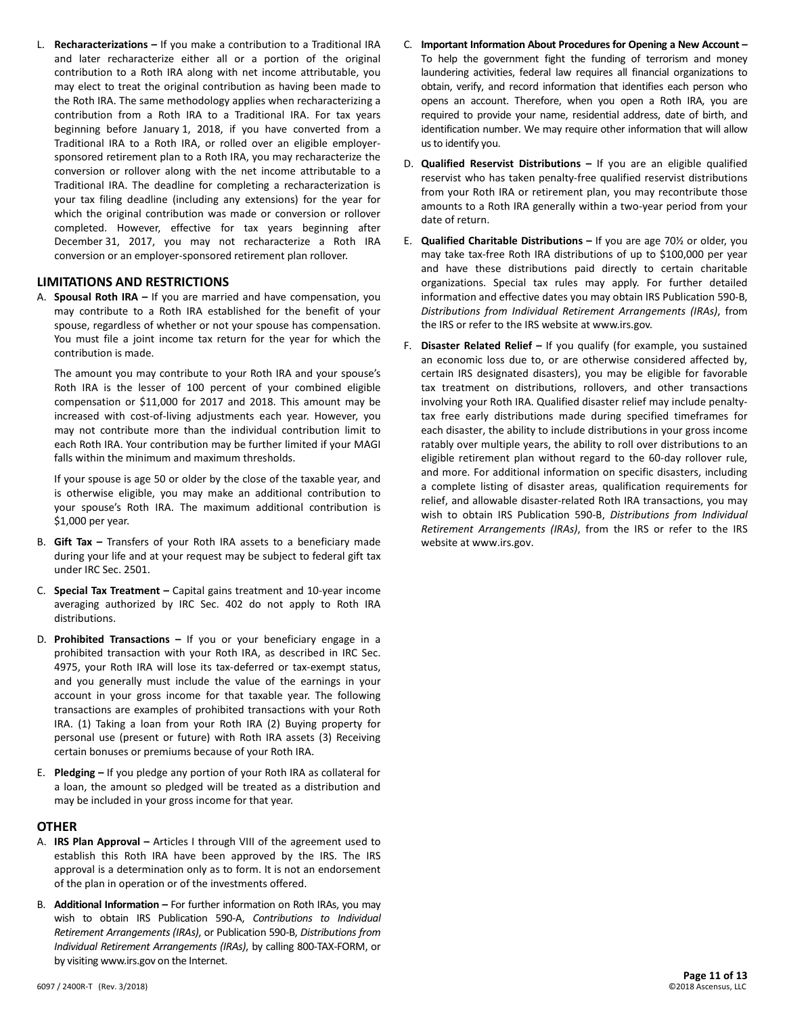L. **Recharacterizations –** If you make a contribution to a Traditional IRA and later recharacterize either all or a portion of the original contribution to a Roth IRA along with net income attributable, you may elect to treat the original contribution as having been made to the Roth IRA. The same methodology applies when recharacterizing a contribution from a Roth IRA to a Traditional IRA. For tax years beginning before January 1, 2018, if you have converted from a Traditional IRA to a Roth IRA, or rolled over an eligible employersponsored retirement plan to a Roth IRA, you may recharacterize the conversion or rollover along with the net income attributable to a Traditional IRA. The deadline for completing a recharacterization is your tax filing deadline (including any extensions) for the year for which the original contribution was made or conversion or rollover completed. However, effective for tax years beginning after December 31, 2017, you may not recharacterize a Roth IRA conversion or an employer-sponsored retirement plan rollover.

#### **LIMITATIONS AND RESTRICTIONS**

A. **Spousal Roth IRA –** If you are married and have compensation, you may contribute to a Roth IRA established for the benefit of your spouse, regardless of whether or not your spouse has compensation. You must file a joint income tax return for the year for which the contribution is made.

The amount you may contribute to your Roth IRA and your spouse's Roth IRA is the lesser of 100 percent of your combined eligible compensation or \$11,000 for 2017 and 2018. This amount may be increased with cost-of-living adjustments each year. However, you may not contribute more than the individual contribution limit to each Roth IRA. Your contribution may be further limited if your MAGI falls within the minimum and maximum thresholds.

If your spouse is age 50 or older by the close of the taxable year, and is otherwise eligible, you may make an additional contribution to your spouse's Roth IRA. The maximum additional contribution is \$1,000 per year.

- B. **Gift Tax –** Transfers of your Roth IRA assets to a beneficiary made during your life and at your request may be subject to federal gift tax under IRC Sec. 2501.
- C. **Special Tax Treatment –** Capital gains treatment and 10-year income averaging authorized by IRC Sec. 402 do not apply to Roth IRA distributions.
- D. **Prohibited Transactions –** If you or your beneficiary engage in a prohibited transaction with your Roth IRA, as described in IRC Sec. 4975, your Roth IRA will lose its tax-deferred or tax-exempt status, and you generally must include the value of the earnings in your account in your gross income for that taxable year. The following transactions are examples of prohibited transactions with your Roth IRA. (1) Taking a loan from your Roth IRA (2) Buying property for personal use (present or future) with Roth IRA assets (3) Receiving certain bonuses or premiums because of your Roth IRA.
- E. **Pledging –** If you pledge any portion of your Roth IRA as collateral for a loan, the amount so pledged will be treated as a distribution and may be included in your gross income for that year.

#### **OTHER**

- A. **IRS Plan Approval –** Articles I through VIII of the agreement used to establish this Roth IRA have been approved by the IRS. The IRS approval is a determination only as to form. It is not an endorsement of the plan in operation or of the investments offered.
- B. **Additional Information –** For further information on Roth IRAs, you may wish to obtain IRS Publication 590-A, *Contributions to Individual Retirement Arrangements (IRAs)*, or Publication 590-B, *Distributions from Individual Retirement Arrangements (IRAs)*, by calling 800-TAX-FORM, or by visiting www.irs.gov on the Internet.
- C. **Important Information About Procedures for Opening a New Account –** To help the government fight the funding of terrorism and money laundering activities, federal law requires all financial organizations to obtain, verify, and record information that identifies each person who opens an account. Therefore, when you open a Roth IRA, you are required to provide your name, residential address, date of birth, and identification number. We may require other information that will allow us to identify you.
- D. **Qualified Reservist Distributions –** If you are an eligible qualified reservist who has taken penalty-free qualified reservist distributions from your Roth IRA or retirement plan, you may recontribute those amounts to a Roth IRA generally within a two-year period from your date of return.
- E. **Qualified Charitable Distributions –** If you are age 70½ or older, you may take tax-free Roth IRA distributions of up to \$100,000 per year and have these distributions paid directly to certain charitable organizations. Special tax rules may apply. For further detailed information and effective dates you may obtain IRS Publication 590-B, *Distributions from Individual Retirement Arrangements (IRAs)*, from the IRS or refer to the IRS website at www.irs.gov.
- F. **Disaster Related Relief –** If you qualify (for example, you sustained an economic loss due to, or are otherwise considered affected by, certain IRS designated disasters), you may be eligible for favorable tax treatment on distributions, rollovers, and other transactions involving your Roth IRA. Qualified disaster relief may include penaltytax free early distributions made during specified timeframes for each disaster, the ability to include distributions in your gross income ratably over multiple years, the ability to roll over distributions to an eligible retirement plan without regard to the 60-day rollover rule, and more. For additional information on specific disasters, including a complete listing of disaster areas, qualification requirements for relief, and allowable disaster-related Roth IRA transactions, you may wish to obtain IRS Publication 590-B, *Distributions from Individual Retirement Arrangements (IRAs)*, from the IRS or refer to the IRS website at www.irs.gov.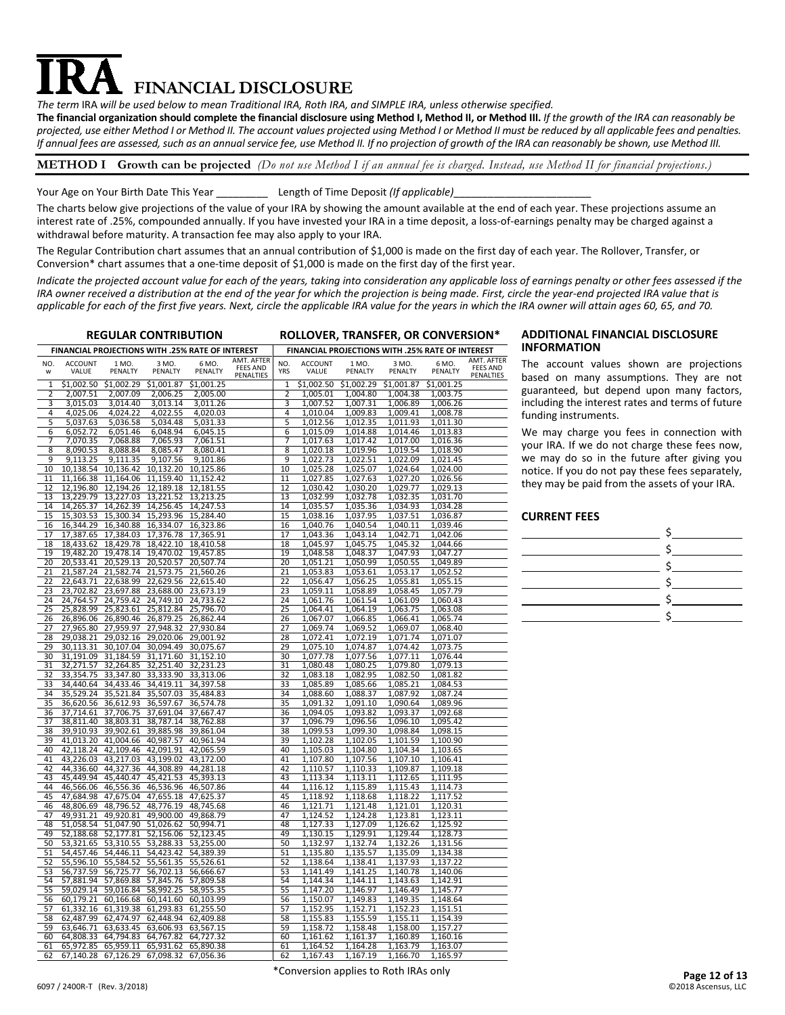# **FINANCIAL DISCLOSURE**

*The term* IRA *will be used below to mean Traditional IRA, Roth IRA, and SIMPLE IRA, unless otherwise specified.*

**The financial organization should complete the financial disclosure using Method I, Method II, or Method III.** *If the growth of the IRA can reasonably be projected, use either Method I or Method II. The account values projected using Method I or Method II must be reduced by all applicable fees and penalties. If annual fees are assessed, such as an annual service fee, use Method II. If no projection of growth of the IRA can reasonably be shown, use Method III.*

#### **METHOD I Growth can be projected** *(Do not use Method I if an annual fee is charged. Instead, use Method II for financial projections.)*

Your Age on Your Birth Date This Year **Length of Time Deposit (If applicable)** 

The charts below give projections of the value of your IRA by showing the amount available at the end of each year. These projections assume an interest rate of .25%, compounded annually. If you have invested your IRA in a time deposit, a loss-of-earnings penalty may be charged against a withdrawal before maturity. A transaction fee may also apply to your IRA.

The Regular Contribution chart assumes that an annual contribution of \$1,000 is made on the first day of each year. The Rollover, Transfer, or Conversion\* chart assumes that a one-time deposit of \$1,000 is made on the first day of the first year.

*Indicate the projected account value for each of the years, taking into consideration any applicable loss of earnings penalty or other fees assessed if the IRA owner received a distribution at the end of the year for which the projection is being made. First, circle the year-end projected IRA value that is applicable for each of the first five years. Next, circle the applicable IRA value for the years in which the IRA owner will attain ages 60, 65, and 70.* 

| <b>REGULAR CONTRIBUTION</b>                                                                                      | ROLLOVER, TRANSFER, OR CONVERSION*                                                           |
|------------------------------------------------------------------------------------------------------------------|----------------------------------------------------------------------------------------------|
| FINANCIAL PROJECTIONS WITH .25% RATE OF INTEREST                                                                 | FINANCIAL PROJECTIONS WITH .25% RATE OF INTEREST                                             |
| AMT. AFTER                                                                                                       | AMT. AFTER                                                                                   |
| NO.                                                                                                              | NO.                                                                                          |
| <b>ACCOUNT</b>                                                                                                   | <b>ACCOUNT</b>                                                                               |
| 1 MO.                                                                                                            | 1 MO.                                                                                        |
| 3 MO.                                                                                                            | 3 MO.                                                                                        |
| 6 MO.                                                                                                            | 6 MO.                                                                                        |
| <b>FEES AND</b>                                                                                                  | <b>FEES AND</b>                                                                              |
| VALUE                                                                                                            | <b>YRS</b>                                                                                   |
| PENALTY                                                                                                          | VALUE                                                                                        |
| PENALTY                                                                                                          | PENALTY                                                                                      |
| PENALTY                                                                                                          | PENALTY                                                                                      |
| W                                                                                                                | PENALTY                                                                                      |
| PENALTIES                                                                                                        | PENALTIES                                                                                    |
| \$1,002.29                                                                                                       | $\overline{51,002.50}$                                                                       |
| \$1.001.25                                                                                                       | \$1,002.29                                                                                   |
| \$1.002.50                                                                                                       | \$1,001.87                                                                                   |
| \$1,001.87                                                                                                       | \$1.001.25                                                                                   |
| 1                                                                                                                | 1                                                                                            |
| 2,007.09                                                                                                         | 2                                                                                            |
| 2,006.25                                                                                                         | 1,005.01                                                                                     |
| 2,005.00                                                                                                         | 1,004.80                                                                                     |
| 2                                                                                                                | 1,004.38                                                                                     |
| 2,007.51                                                                                                         | 1,003.75                                                                                     |
| 3                                                                                                                | 3                                                                                            |
| 3,015.03                                                                                                         | 1,007.52                                                                                     |
| 3,014.40                                                                                                         | 1,007.31                                                                                     |
| 3,013.14                                                                                                         | 1,006.89                                                                                     |
| 3,011.26                                                                                                         | 1,006.26                                                                                     |
| 4                                                                                                                | 4                                                                                            |
| 4,025.06                                                                                                         | 1,010.04                                                                                     |
| 4,024.22                                                                                                         | 1,009.83                                                                                     |
| 4,022.55                                                                                                         | 1,009.41                                                                                     |
| 4,020.03                                                                                                         | 1,008.78                                                                                     |
| 5                                                                                                                | 5                                                                                            |
| 5,037.63                                                                                                         | 1,012.56                                                                                     |
| 5,034.48                                                                                                         | 1,011.93                                                                                     |
| 5,036.58                                                                                                         | 1,012.35                                                                                     |
| 5,031.33                                                                                                         | 1,011.30                                                                                     |
| 6                                                                                                                | 6                                                                                            |
| 6,052.72                                                                                                         | 1,015.09                                                                                     |
| 6,051.46                                                                                                         | 1,014.88                                                                                     |
| 6,048.94                                                                                                         | 1,014.46                                                                                     |
| 6,045.15                                                                                                         | 1,013.83                                                                                     |
| 7                                                                                                                | 7                                                                                            |
| 7,070.35                                                                                                         | 1,017.63                                                                                     |
| 7,068.88                                                                                                         | 1,017.42                                                                                     |
| 7,065.93                                                                                                         | 1,017.00                                                                                     |
| 7,061.51                                                                                                         | 1,016.36                                                                                     |
| 8                                                                                                                | 8                                                                                            |
| 8,090.53                                                                                                         | 1,020.18                                                                                     |
| 8,088.84                                                                                                         | 1,019.54                                                                                     |
| 8,085.47                                                                                                         | 1,018.90                                                                                     |
| 8,080.41                                                                                                         | 1,019.96                                                                                     |
| 9                                                                                                                | 9                                                                                            |
| 9,107.56                                                                                                         | 1,022.73                                                                                     |
| 9,113.25                                                                                                         | 1,022.09                                                                                     |
| 9,111.35                                                                                                         | 1,022.51                                                                                     |
| 9,101.86                                                                                                         | 1,021.45                                                                                     |
| 10                                                                                                               | 10                                                                                           |
| 10,138.54                                                                                                        | 1,025.28                                                                                     |
| 10,136.42                                                                                                        | 1,025.07                                                                                     |
| 10,132.20                                                                                                        | 1,024.64                                                                                     |
| 10,125.86                                                                                                        | 1,024.00                                                                                     |
| 11                                                                                                               | 11                                                                                           |
| 11,166.38                                                                                                        | 1,027.85                                                                                     |
| 11,164.06                                                                                                        | 1,027.63                                                                                     |
| 11,159.40                                                                                                        | 1,027.20                                                                                     |
| 11,152.42                                                                                                        | 1,026.56                                                                                     |
| 12                                                                                                               | 12                                                                                           |
| 12,196.80                                                                                                        | 1,030.42                                                                                     |
| 12,194.26                                                                                                        | 1,030.20                                                                                     |
| 12,189.18                                                                                                        | 1,029.77                                                                                     |
| 12,181.55                                                                                                        | 1,029.13                                                                                     |
| 13,227.03                                                                                                        | 13                                                                                           |
| 13                                                                                                               | 1,032.99                                                                                     |
| 13,221.52                                                                                                        | 1,032.35                                                                                     |
| 13,229.79                                                                                                        | 1,032.78                                                                                     |
| 13,213.25                                                                                                        | 1,031.70                                                                                     |
| 14                                                                                                               | 14                                                                                           |
| 14,265.37                                                                                                        | 1,035.57                                                                                     |
| 14,262.39                                                                                                        | 1,035.36                                                                                     |
| 14,256.45                                                                                                        | 1,034.93                                                                                     |
| 14,247.53                                                                                                        | 1,034.28                                                                                     |
| 15                                                                                                               | 15                                                                                           |
| 15,293.96                                                                                                        | 1,037.51                                                                                     |
| 15,303.53                                                                                                        | 1,038.16                                                                                     |
| 15,300.34                                                                                                        | 1,037.95                                                                                     |
| 15,284.40                                                                                                        | 1,036.87                                                                                     |
| 16,344.29                                                                                                        | 16                                                                                           |
| 16,340.88                                                                                                        | 1,040.76                                                                                     |
| 16,334.07                                                                                                        | 1,040.54                                                                                     |
| 16                                                                                                               | 1,040.11                                                                                     |
| 16,323.86                                                                                                        | 1,039.46                                                                                     |
| 17                                                                                                               | 17                                                                                           |
| 17,384.03                                                                                                        | 1,042.71                                                                                     |
| 17,376.78                                                                                                        | 1,043.36                                                                                     |
| 17,387.65                                                                                                        | 1,043.14                                                                                     |
| 17,365.91                                                                                                        | 1,042.06                                                                                     |
| 18                                                                                                               | 18                                                                                           |
| 18,433.62                                                                                                        | 1,045.97                                                                                     |
| 18.429.78                                                                                                        | 1.045.75                                                                                     |
| 18.422.10                                                                                                        | 1,045.32                                                                                     |
| 18.410.58                                                                                                        | 1,044.66                                                                                     |
| 19                                                                                                               | 19                                                                                           |
| 19,482.20                                                                                                        | 1,048.58                                                                                     |
| 19,478.14                                                                                                        | 1,048.37                                                                                     |
| 19,470.02                                                                                                        | 1,047.93                                                                                     |
| 19,457.85                                                                                                        | 1,047.27                                                                                     |
| 20                                                                                                               | 20                                                                                           |
| 20,533.41                                                                                                        | 1,051.21                                                                                     |
| 20,529.13                                                                                                        | 1,050.99                                                                                     |
| 20,520.57                                                                                                        | 1,050.55                                                                                     |
| 20,507.74                                                                                                        | 1,049.89                                                                                     |
| 21                                                                                                               | 21                                                                                           |
| 21,587.24                                                                                                        | 1,053.83                                                                                     |
| 21,582.74                                                                                                        | 1,053.61                                                                                     |
| 21,573.75                                                                                                        | 1,053.17                                                                                     |
| 21,560.26                                                                                                        | 1,052.52                                                                                     |
| 22                                                                                                               | 22                                                                                           |
| 22,643.71                                                                                                        | 1,056.47                                                                                     |
| 22,638.99                                                                                                        | 1,055.81                                                                                     |
| 22,629.56                                                                                                        | 1,055.15                                                                                     |
| 22,615.40                                                                                                        | 1,056.25                                                                                     |
| 23                                                                                                               | 23                                                                                           |
| 23,702.82                                                                                                        | 1,059.11                                                                                     |
| 23,697.88                                                                                                        | 1,058.45                                                                                     |
| 23,688.00                                                                                                        | 1,057.79                                                                                     |
| 23,673.19                                                                                                        | 1,058.89                                                                                     |
| 24                                                                                                               | 24                                                                                           |
| 24,764.57                                                                                                        | 1,061.09                                                                                     |
| 24,759.42                                                                                                        | 1,061.76                                                                                     |
| 24,749.10                                                                                                        | 1,061.54                                                                                     |
| 24,733.62                                                                                                        | 1,060.43                                                                                     |
| 25                                                                                                               | 25                                                                                           |
| 25,828.99                                                                                                        | 1,064.41                                                                                     |
| 25,823.61                                                                                                        | 1,064.19                                                                                     |
| 25,812.84                                                                                                        | 1,063.75                                                                                     |
| 25,796.70                                                                                                        | 1,063.08                                                                                     |
| 26                                                                                                               | 26                                                                                           |
| 26,896.06                                                                                                        | 1,067.07                                                                                     |
| 26,890.46                                                                                                        | 1,066.85                                                                                     |
| 26,879.25                                                                                                        | 1,066.41                                                                                     |
| 26,862.44                                                                                                        | 1,065.74                                                                                     |
| 27                                                                                                               | 27                                                                                           |
| 27,965.80                                                                                                        | 1,069.07                                                                                     |
| 27,959.97                                                                                                        | 1,069.74                                                                                     |
| 27,948.32                                                                                                        | 1,069.52                                                                                     |
| 27,930.84                                                                                                        | 1,068.40                                                                                     |
| 29,032.16                                                                                                        | 28                                                                                           |
| 29,020.06                                                                                                        | 1,072.41                                                                                     |
| 28                                                                                                               | 1,071.74                                                                                     |
| 29,038.21                                                                                                        | 1,071.07                                                                                     |
| 29,001.92                                                                                                        | 1,072.19                                                                                     |
| 29                                                                                                               | 29                                                                                           |
| 30,107.04                                                                                                        | 1,074.42                                                                                     |
| 30,113.31                                                                                                        | 1,075.10                                                                                     |
| 30,094.49                                                                                                        | 1,074.87                                                                                     |
| 30,075.67                                                                                                        | 1,073.75                                                                                     |
| 30                                                                                                               | 1,077.78                                                                                     |
| 31,191.09                                                                                                        | 1,077.56                                                                                     |
| 31,184.59                                                                                                        | 1,077.11                                                                                     |
| 31,171.60                                                                                                        | 30                                                                                           |
| 31,152.10                                                                                                        | 1,076.44                                                                                     |
| 32,251.40                                                                                                        | 31                                                                                           |
| 31                                                                                                               | 1,080.48                                                                                     |
| 32,271.57                                                                                                        | 1,080.25                                                                                     |
| 32,264.85                                                                                                        | 1,079.80                                                                                     |
| 32,231.23                                                                                                        | 1,079.13                                                                                     |
| 32                                                                                                               | 32                                                                                           |
| 33,354.75                                                                                                        | 1,082.50                                                                                     |
| 33,347.80                                                                                                        | 1,083.18                                                                                     |
| 33,333.90                                                                                                        | 1,082.95                                                                                     |
| 33,313.06                                                                                                        | 1,081.82                                                                                     |
| 33                                                                                                               | 33                                                                                           |
| 34,440.64                                                                                                        | 1,085.89                                                                                     |
| 34,433.46                                                                                                        | 1,085.21                                                                                     |
| 34,419.11                                                                                                        | 1,085.66                                                                                     |
| 34,397.58                                                                                                        | 1,084.53                                                                                     |
| 35,529.24                                                                                                        | 34                                                                                           |
| 35,521.84                                                                                                        | 1,088.60                                                                                     |
| 34                                                                                                               | 1,088.37                                                                                     |
| 35,507.03                                                                                                        | 1,087.92                                                                                     |
| 35,484.83                                                                                                        | 1,087.24                                                                                     |
| 35                                                                                                               | 35                                                                                           |
| 36,620.56                                                                                                        | 1,091.32                                                                                     |
| 36,612.93                                                                                                        | 1,091.10                                                                                     |
| 36,597.67                                                                                                        | 1,090.64                                                                                     |
| 36,574.78                                                                                                        | 1,089.96                                                                                     |
| 37,691.04                                                                                                        | 36                                                                                           |
| 37,667.47                                                                                                        | 1,094.05                                                                                     |
| 36                                                                                                               | 1,093.82                                                                                     |
| 37,714.61                                                                                                        | 1,093.37                                                                                     |
| 37,706.75                                                                                                        | 1,092.68                                                                                     |
| 37                                                                                                               | 1,096.79                                                                                     |
| 38,787.14                                                                                                        | 1,096.10                                                                                     |
| 38,811.40                                                                                                        | 37                                                                                           |
| 38,803.31                                                                                                        | 1,096.56                                                                                     |
| 38,762.88                                                                                                        | 1,095.42                                                                                     |
| 38                                                                                                               | 38                                                                                           |
| 39,910.93                                                                                                        | 1,099.53                                                                                     |
| 39,902.61                                                                                                        | 1,099.30                                                                                     |
| 39,885.98                                                                                                        | 1,098.84                                                                                     |
| 39,861.04                                                                                                        | 1,098.15                                                                                     |
| 39                                                                                                               | 39                                                                                           |
| 41.013.20                                                                                                        | 1,102.28                                                                                     |
| 41.004.66                                                                                                        | 1,102.05                                                                                     |
| 40,987.57                                                                                                        | 1.101.59                                                                                     |
| 40.961.94                                                                                                        | 1.100.90                                                                                     |
| 40                                                                                                               | 40                                                                                           |
| 42,118.24                                                                                                        | 1,105.03                                                                                     |
| 42,109.46                                                                                                        | 1,104.80                                                                                     |
| 42,091.91                                                                                                        | 1,104.34                                                                                     |
| 42,065.59                                                                                                        | 1,103.65                                                                                     |
| 43,226.03                                                                                                        | 41                                                                                           |
| 43,199.02                                                                                                        | 1,107.80                                                                                     |
| 41                                                                                                               | 1,107.56                                                                                     |
| 43,217.03                                                                                                        | 1,107.10                                                                                     |
| 43,172.00                                                                                                        | 1,106.41                                                                                     |
| 42                                                                                                               | 42                                                                                           |
| 44,336.60                                                                                                        | 1,110.57                                                                                     |
| 44,327.36                                                                                                        | 1,110.33                                                                                     |
| 44,308.89                                                                                                        | 1,109.87                                                                                     |
| 44,281.18                                                                                                        | 1,109.18                                                                                     |
| 43<br>45,449.94<br>45,440.47<br>45,421.53<br>45,393.13<br>44<br>46,566.06<br>46,556.36<br>46,536.96<br>46,507.86 | 43<br>1,112.65<br>1,113.34<br>1,113.11<br>1,111.95<br>44<br>1,116.12<br>1,115.89<br>1,115.43 |
| 45<br>47,684.98<br>47,675.04<br>47,655.18<br>47,625.37                                                           | 1,114.73<br>45<br>1,118.92<br>1,118.22<br>1,117.52<br>1,118.68                               |
| 46                                                                                                               | 46                                                                                           |
| 48,806.69                                                                                                        | 1,121.71                                                                                     |
| 48,796.52                                                                                                        | 1,121.48                                                                                     |
| 48,776.19                                                                                                        | 1,121.01                                                                                     |
| 48,745.68                                                                                                        | 1,120.31                                                                                     |
| 47                                                                                                               | 47                                                                                           |
| 49,931.21                                                                                                        | 1,124.52                                                                                     |
| 49,920.81                                                                                                        | 1,124.28                                                                                     |
| 49,900.00                                                                                                        | 1,123.81                                                                                     |
| 49,868.79                                                                                                        | $1,123.\overline{11}$                                                                        |
| 48                                                                                                               | 48                                                                                           |
| 51,058.54                                                                                                        | 1,127.33                                                                                     |
| 51,047.90                                                                                                        | 1,127.09                                                                                     |
| 51,026.62                                                                                                        | 1,126.62                                                                                     |
| 50,994.71                                                                                                        | 1,125.92                                                                                     |
| 49                                                                                                               | 49                                                                                           |
| 52,156.06                                                                                                        | 1,129.91                                                                                     |
| 52,188.68                                                                                                        | 1,129.44                                                                                     |
| 52,177.81                                                                                                        | 1,130.15                                                                                     |
| 52,123.45                                                                                                        | 1,128.73                                                                                     |
| 50                                                                                                               | 50                                                                                           |
| 53,310.55                                                                                                        | 1,132.97                                                                                     |
| 53,288.33                                                                                                        | 1,132.74                                                                                     |
| 53,255.00                                                                                                        | 1,132.26                                                                                     |
| 53,321.65                                                                                                        | 1,131.56                                                                                     |
| 51                                                                                                               | 51                                                                                           |
| 54,457.46                                                                                                        | 1,135.80                                                                                     |
| 54.446.11                                                                                                        | 1,135.57                                                                                     |
| 54,423.42                                                                                                        | 1,135.09                                                                                     |
| 54,389.39                                                                                                        | 1,134.38                                                                                     |
| 52                                                                                                               | 52                                                                                           |
| 55,596.10                                                                                                        | 1,138.64                                                                                     |
| 55,584.52                                                                                                        | 1,138.41                                                                                     |
| 55,561.35                                                                                                        | 1,137.93                                                                                     |
| 55,526.61                                                                                                        | 1,137.22                                                                                     |
| 53                                                                                                               | 53                                                                                           |
| 56,737.59                                                                                                        | 1,141.49                                                                                     |
| 56,725.77                                                                                                        | 1,141.25                                                                                     |
| 56,702.13                                                                                                        | 1,140.78                                                                                     |
| 56,666.67                                                                                                        | 1,140.06                                                                                     |
| 54                                                                                                               | 54                                                                                           |
| 57,881.94                                                                                                        | 1,144.34                                                                                     |
| 57,869.88                                                                                                        | 1,144.11                                                                                     |
| 57,845.76                                                                                                        | 1,143.63                                                                                     |
| 57,809.58                                                                                                        | 1,142.91                                                                                     |
| 55                                                                                                               | 55                                                                                           |
| 59,029.14                                                                                                        | 1,147.20                                                                                     |
| 59,016.84                                                                                                        | 1,146.49                                                                                     |
| 58,992.25                                                                                                        | 1,146.97                                                                                     |
| 58,955.35                                                                                                        | 1,145.77                                                                                     |
| 56                                                                                                               | 56                                                                                           |
| 60,179.21                                                                                                        | 1,150.07                                                                                     |
| 60,166.68                                                                                                        | 1,149.83                                                                                     |
| 60,141.60                                                                                                        | 1,149.35                                                                                     |
| 60,103.99                                                                                                        | 1,148.64                                                                                     |
| 61,293.83                                                                                                        | 57                                                                                           |
| 57                                                                                                               | 1,152.95                                                                                     |
| 61,332.16                                                                                                        | 1,152.71                                                                                     |
| 61,319.38                                                                                                        | 1,152.23                                                                                     |
| 61,255.50                                                                                                        | 1,151.51                                                                                     |
| 58                                                                                                               | 58                                                                                           |
| 62,487.99                                                                                                        | 1,155.83                                                                                     |
| 62,474.97                                                                                                        | 1,155.59                                                                                     |
| 62,448.94                                                                                                        | 1,155.11                                                                                     |
| 62,409.88                                                                                                        | 1,154.39                                                                                     |
| 59                                                                                                               | 59                                                                                           |
| 63,633.45                                                                                                        | 1,158.72                                                                                     |
| 63,606.93                                                                                                        | 1,158.48                                                                                     |
| 63,567.15                                                                                                        | 1,158.00                                                                                     |
| 63,646.71                                                                                                        | 1,157.27                                                                                     |
| 60                                                                                                               | 60                                                                                           |
| 64,808.33                                                                                                        | 1,161.62                                                                                     |
| 64,794.83                                                                                                        | 1,161.37                                                                                     |
| 64,767.82                                                                                                        | 1,160.89                                                                                     |
| 64,727.32                                                                                                        | 1,160.16                                                                                     |
| 65,972.85 65,959.11<br>65,931.62<br>61<br>65,890.38                                                              | 61<br>1,164.28<br>1,163.79<br>1,164.52<br>1,163.07                                           |
| 67 140 28 67 126 29 67 098 32<br>62<br>67 056 36                                                                 | 1 166 70<br>62<br>1 167 43<br>1 167 19<br>1 165 97                                           |

#### **REGULAR CONTRIBUTION ROLLOVER, TRANSFER, OR CONVERSION\* ADDITIONAL FINANCIAL DISCLOSURE INFORMATION**

The account values shown are projections based on many assumptions. They are not guaranteed, but depend upon many factors, including the interest rates and terms of future funding instruments.

We may charge you fees in connection with your IRA. If we do not charge these fees now, we may do so in the future after giving you notice. If you do not pay these fees separately, they may be paid from the assets of your IRA.

#### **CURRENT FEES**